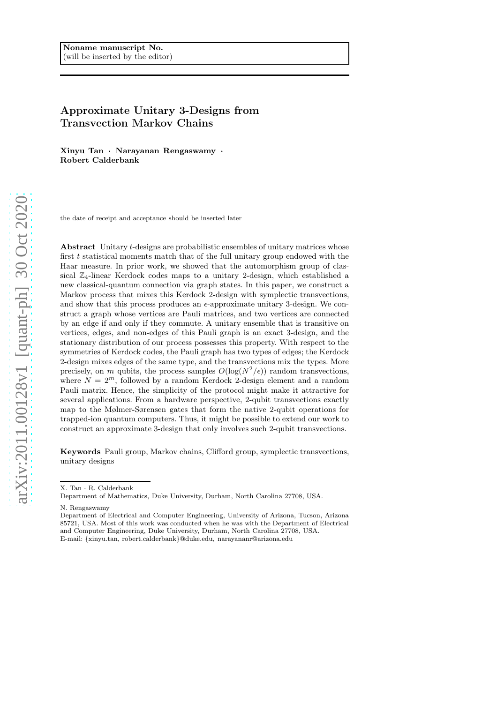# Approximate Unitary 3-Designs from Transvection Markov Chains

Xinyu Tan · Narayanan Rengaswamy · Robert Calderbank

the date of receipt and acceptance should be inserted later

Abstract Unitary t-designs are probabilistic ensembles of unitary matrices whose first  $t$  statistical moments match that of the full unitary group endowed with the Haar measure. In prior work, we showed that the automorphism group of classical Z4-linear Kerdock codes maps to a unitary 2-design, which established a new classical-quantum connection via graph states. In this paper, we construct a Markov process that mixes this Kerdock 2-design with symplectic transvections, and show that this process produces an  $\epsilon$ -approximate unitary 3-design. We construct a graph whose vertices are Pauli matrices, and two vertices are connected by an edge if and only if they commute. A unitary ensemble that is transitive on vertices, edges, and non-edges of this Pauli graph is an exact 3-design, and the stationary distribution of our process possesses this property. With respect to the symmetries of Kerdock codes, the Pauli graph has two types of edges; the Kerdock 2-design mixes edges of the same type, and the transvections mix the types. More precisely, on m qubits, the process samples  $O(\log(N^2/\epsilon))$  random transvections, where  $N = 2^m$ , followed by a random Kerdock 2-design element and a random Pauli matrix. Hence, the simplicity of the protocol might make it attractive for several applications. From a hardware perspective, 2-qubit transvections exactly map to the Mølmer-Sørensen gates that form the native 2-qubit operations for trapped-ion quantum computers. Thus, it might be possible to extend our work to construct an approximate 3-design that only involves such 2-qubit transvections.

Keywords Pauli group, Markov chains, Clifford group, symplectic transvections, unitary designs

N. Rengaswamy

X. Tan · R. Calderbank

Department of Mathematics, Duke University, Durham, North Carolina 27708, USA.

Department of Electrical and Computer Engineering, University of Arizona, Tucson, Arizona 85721, USA. Most of this work was conducted when he was with the Department of Electrical and Computer Engineering, Duke University, Durham, North Carolina 27708, USA. E-mail: {xinyu.tan, robert.calderbank}@duke.edu, narayananr@arizona.edu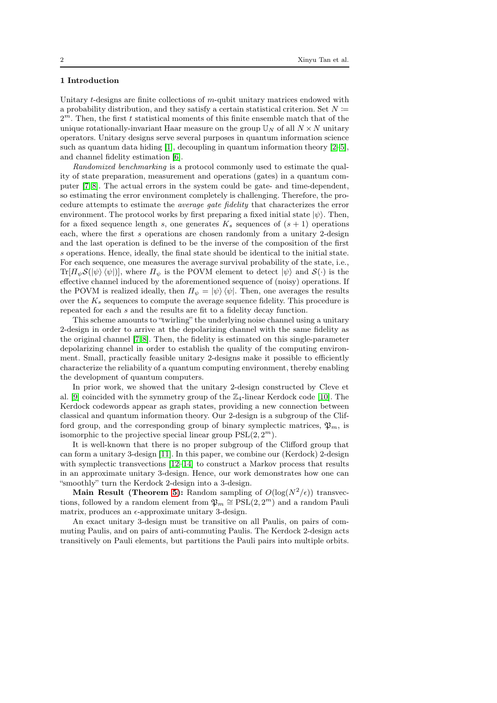# 1 Introduction

Unitary t-designs are finite collections of m-qubit unitary matrices endowed with a probability distribution, and they satisfy a certain statistical criterion. Set  $N \coloneqq$  $2<sup>m</sup>$ . Then, the first t statistical moments of this finite ensemble match that of the unique rotationally-invariant Haar measure on the group  $\mathbb{U}_N$  of all  $N \times N$  unitary operators. Unitary designs serve several purposes in quantum information science such as quantum data hiding  $[1]$ , decoupling in quantum information theory  $[2-5]$ , and channel fidelity estimation [\[6\]](#page-23-3).

Randomized benchmarking is a protocol commonly used to estimate the quality of state preparation, measurement and operations (gates) in a quantum computer [\[7,](#page-23-4) [8\]](#page-23-5). The actual errors in the system could be gate- and time-dependent, so estimating the error environment completely is challenging. Therefore, the procedure attempts to estimate the average gate fidelity that characterizes the error environment. The protocol works by first preparing a fixed initial state  $|\psi\rangle$ . Then, for a fixed sequence length s, one generates  $K_s$  sequences of  $(s + 1)$  operations each, where the first s operations are chosen randomly from a unitary 2-design and the last operation is defined to be the inverse of the composition of the first s operations. Hence, ideally, the final state should be identical to the initial state. For each sequence, one measures the average survival probability of the state, i.e.,  $\text{Tr}[H_{\psi}\mathcal{S}(|\psi\rangle\langle\psi|)]$ , where  $H_{\psi}$  is the POVM element to detect  $|\psi\rangle$  and  $\mathcal{S}(\cdot)$  is the effective channel induced by the aforementioned sequence of (noisy) operations. If the POVM is realized ideally, then  $\Pi_{\psi} = |\psi\rangle \langle \psi|$ . Then, one averages the results over the  $K_s$  sequences to compute the average sequence fidelity. This procedure is repeated for each s and the results are fit to a fidelity decay function.

This scheme amounts to "twirling" the underlying noise channel using a unitary 2-design in order to arrive at the depolarizing channel with the same fidelity as the original channel [\[7,](#page-23-4) [8\]](#page-23-5). Then, the fidelity is estimated on this single-parameter depolarizing channel in order to establish the quality of the computing environment. Small, practically feasible unitary 2-designs make it possible to efficiently characterize the reliability of a quantum computing environment, thereby enabling the development of quantum computers.

In prior work, we showed that the unitary 2-design constructed by Cleve et al. [\[9\]](#page-23-6) coincided with the symmetry group of the  $\mathbb{Z}_4$ -linear Kerdock code [\[10\]](#page-23-7). The Kerdock codewords appear as graph states, providing a new connection between classical and quantum information theory. Our 2-design is a subgroup of the Clifford group, and the corresponding group of binary symplectic matrices,  $\mathfrak{P}_m$ , is isomorphic to the projective special linear group  $PSL(2, 2<sup>m</sup>)$ .

It is well-known that there is no proper subgroup of the Clifford group that can form a unitary 3-design [\[11\]](#page-23-8). In this paper, we combine our (Kerdock) 2-design with symplectic transvections [\[12](#page-23-9)[–14\]](#page-23-10) to construct a Markov process that results in an approximate unitary 3-design. Hence, our work demonstrates how one can "smoothly" turn the Kerdock 2-design into a 3-design.

Main Result (Theorem [5\)](#page-18-0): Random sampling of  $O(\log(N^2/\epsilon))$  transvections, followed by a random element from  $\mathfrak{P}_m \cong \mathrm{PSL}(2, 2^m)$  and a random Pauli matrix, produces an  $\epsilon$ -approximate unitary 3-design.

An exact unitary 3-design must be transitive on all Paulis, on pairs of commuting Paulis, and on pairs of anti-commuting Paulis. The Kerdock 2-design acts transitively on Pauli elements, but partitions the Pauli pairs into multiple orbits.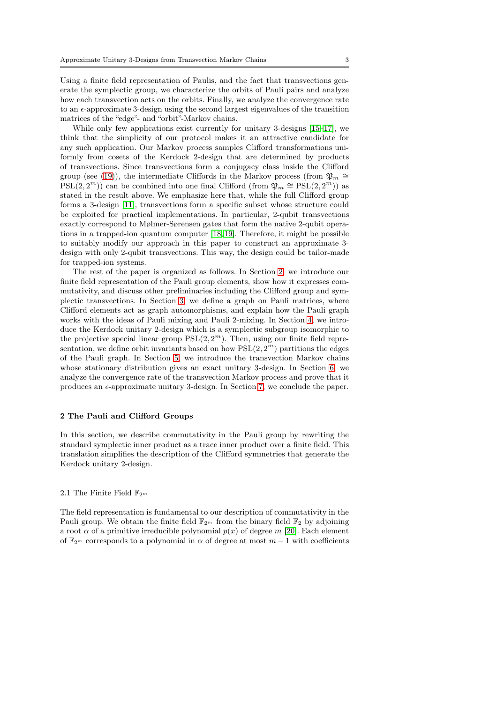Using a finite field representation of Paulis, and the fact that transvections generate the symplectic group, we characterize the orbits of Pauli pairs and analyze how each transvection acts on the orbits. Finally, we analyze the convergence rate to an  $\epsilon$ -approximate 3-design using the second largest eigenvalues of the transition matrices of the "edge"- and "orbit"-Markov chains.

While only few applications exist currently for unitary 3-designs [\[15–](#page-23-11)[17\]](#page-23-12), we think that the simplicity of our protocol makes it an attractive candidate for any such application. Our Markov process samples Clifford transformations uniformly from cosets of the Kerdock 2-design that are determined by products of transvections. Since transvections form a conjugacy class inside the Clifford group (see [\(19\)](#page-5-0)), the intermediate Cliffords in the Markov process (from  $\mathfrak{P}_m \cong$  $PSL(2, 2<sup>m</sup>)$  can be combined into one final Clifford (from  $\mathfrak{P}_m \cong \mathrm{PSL}(2, 2<sup>m</sup>)$ ) as stated in the result above. We emphasize here that, while the full Clifford group forms a 3-design [\[11\]](#page-23-8), transvections form a specific subset whose structure could be exploited for practical implementations. In particular, 2-qubit transvections exactly correspond to Mølmer-Sørensen gates that form the native 2-qubit operations in a trapped-ion quantum computer [\[18,](#page-23-13) [19\]](#page-23-14). Therefore, it might be possible to suitably modify our approach in this paper to construct an approximate 3 design with only 2-qubit transvections. This way, the design could be tailor-made for trapped-ion systems.

The rest of the paper is organized as follows. In Section [2,](#page-2-0) we introduce our finite field representation of the Pauli group elements, show how it expresses commutativity, and discuss other preliminaries including the Clifford group and symplectic transvections. In Section [3,](#page-6-0) we define a graph on Pauli matrices, where Clifford elements act as graph automorphisms, and explain how the Pauli graph works with the ideas of Pauli mixing and Pauli 2-mixing. In Section [4,](#page-10-0) we introduce the Kerdock unitary 2-design which is a symplectic subgroup isomorphic to the projective special linear group  $PSL(2, 2<sup>m</sup>)$ . Then, using our finite field representation, we define orbit invariants based on how  $PSL(2, 2<sup>m</sup>)$  partitions the edges of the Pauli graph. In Section [5,](#page-13-0) we introduce the transvection Markov chains whose stationary distribution gives an exact unitary 3-design. In Section [6,](#page-18-1) we analyze the convergence rate of the transvection Markov process and prove that it produces an  $\epsilon$ -approximate unitary 3-design. In Section [7,](#page-22-0) we conclude the paper.

# <span id="page-2-0"></span>2 The Pauli and Clifford Groups

In this section, we describe commutativity in the Pauli group by rewriting the standard symplectic inner product as a trace inner product over a finite field. This translation simplifies the description of the Clifford symmetries that generate the Kerdock unitary 2-design.

### 2.1 The Finite Field  $\mathbb{F}_{2^m}$

The field representation is fundamental to our description of commutativity in the Pauli group. We obtain the finite field  $\mathbb{F}_{2m}$  from the binary field  $\mathbb{F}_{2}$  by adjoining a root  $\alpha$  of a primitive irreducible polynomial  $p(x)$  of degree m [\[20\]](#page-23-15). Each element of  $\mathbb{F}_{2^m}$  corresponds to a polynomial in  $\alpha$  of degree at most  $m-1$  with coefficients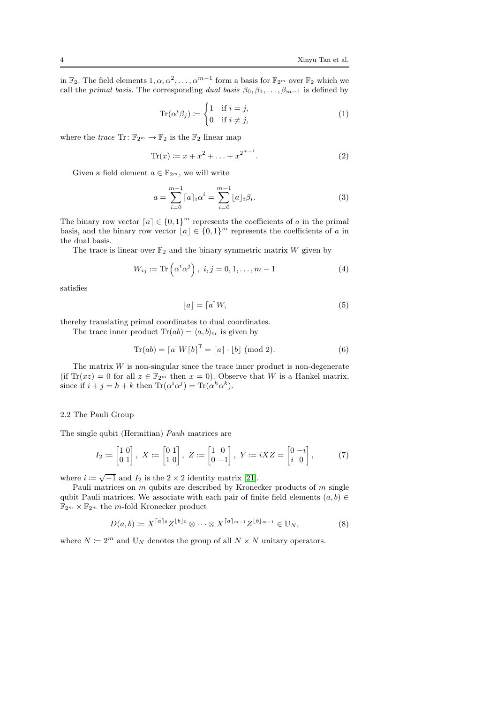in  $\mathbb{F}_2$ . The field elements  $1, \alpha, \alpha^2, \ldots, \alpha^{m-1}$  form a basis for  $\mathbb{F}_{2^m}$  over  $\mathbb{F}_2$  which we call the *primal basis*. The corresponding dual basis  $\beta_0, \beta_1, \ldots, \beta_{m-1}$  is defined by

$$
\operatorname{Tr}(\alpha^i \beta_j) := \begin{cases} 1 & \text{if } i = j, \\ 0 & \text{if } i \neq j, \end{cases}
$$
 (1)

where the *trace* Tr:  $\mathbb{F}_{2^m} \to \mathbb{F}_2$  is the  $\mathbb{F}_2$  linear map

$$
\text{Tr}(x) \coloneqq x + x^2 + \ldots + x^{2^{m-1}}.
$$
 (2)

Given a field element  $a \in \mathbb{F}_{2^m}$ , we will write

$$
a = \sum_{i=0}^{m-1} [a]_i \alpha^i = \sum_{i=0}^{m-1} [a]_i \beta_i.
$$
 (3)

The binary row vector  $[a] \in \{0,1\}^m$  represents the coefficients of a in the primal basis, and the binary row vector  $[a] \in \{0,1\}^m$  represents the coefficients of a in the dual basis.

The trace is linear over  $\mathbb{F}_2$  and the binary symmetric matrix W given by

$$
W_{ij} := \text{Tr}\left(\alpha^i \alpha^j\right), \ i, j = 0, 1, \dots, m - 1 \tag{4}
$$

satisfies

<span id="page-3-1"></span><span id="page-3-0"></span>
$$
\lfloor a \rfloor = \lceil a \rceil W,\tag{5}
$$

thereby translating primal coordinates to dual coordinates.

The trace inner product  $\text{Tr}(ab) = \langle a, b \rangle_{\text{tr}}$  is given by

$$
\operatorname{Tr}(ab) = \lceil a \rceil W \lceil b \rceil^{\mathsf{T}} = \lceil a \rceil \cdot \lfloor b \rfloor \pmod{2}.
$$
 (6)

The matrix  $W$  is non-singular since the trace inner product is non-degenerate (if Tr(xz) = 0 for all  $z \in \mathbb{F}_{2^m}$  then  $x = 0$ ). Observe that W is a Hankel matrix, since if  $i + j = h + k$  then  $\text{Tr}(\alpha^i \alpha^j) = \text{Tr}(\alpha^h \alpha^k)$ .

### 2.2 The Pauli Group

The single qubit (Hermitian) Pauli matrices are

$$
I_2 \coloneqq \begin{bmatrix} 1 & 0 \\ 0 & 1 \end{bmatrix}, \ X \coloneqq \begin{bmatrix} 0 & 1 \\ 1 & 0 \end{bmatrix}, \ Z \coloneqq \begin{bmatrix} 1 & 0 \\ 0 & -1 \end{bmatrix}, \ Y \coloneqq iXZ = \begin{bmatrix} 0 & -i \\ i & 0 \end{bmatrix}, \tag{7}
$$

where  $i := \sqrt{-1}$  and  $I_2$  is the  $2 \times 2$  identity matrix [\[21\]](#page-23-16).

Pauli matrices on  $m$  qubits are described by Kronecker products of  $m$  single qubit Pauli matrices. We associate with each pair of finite field elements  $(a, b) \in$  $\mathbb{F}_{2^m} \times \mathbb{F}_{2^m}$  the *m*-fold Kronecker product

$$
D(a,b) \coloneqq X^{\lceil a \rceil_0} Z^{\lfloor b \rfloor_0} \otimes \cdots \otimes X^{\lceil a \rceil_{m-1}} Z^{\lfloor b \rfloor_{m-1}} \in \mathbb{U}_N,
$$
\n
$$
(8)
$$

where  $N \coloneqq 2^m$  and  $\mathbb{U}_N$  denotes the group of all  $N \times N$  unitary operators.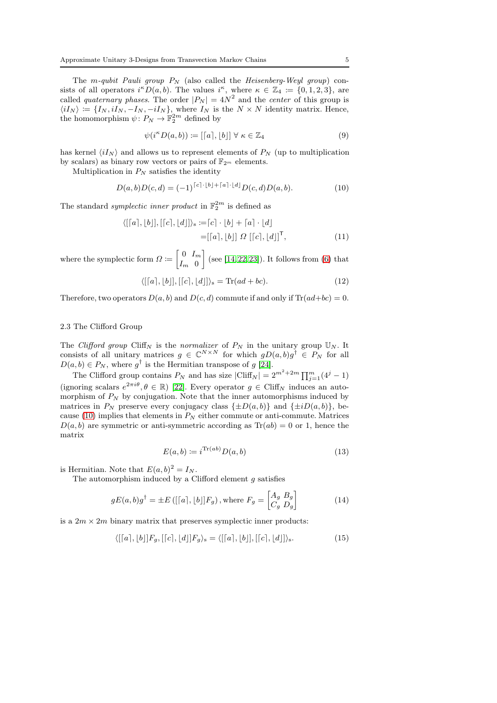The m-qubit Pauli group  $P_N$  (also called the Heisenberg-Weyl group) consists of all operators  $i^k D(a, b)$ . The values  $i^k$ , where  $\kappa \in \mathbb{Z}_4 := \{0, 1, 2, 3\}$ , are called *quaternary phases*. The order  $|P_N| = 4N^2$  and the *center* of this group is  $\langle iI_N \rangle := \{I_N, iI_N, -I_N, -iI_N\}$ , where  $I_N$  is the  $N \times N$  identity matrix. Hence, the homomorphism  $\psi \colon P_N \to \mathbb{F}_2^{2m}$  defined by

<span id="page-4-1"></span><span id="page-4-0"></span>
$$
\psi(i^{\kappa}D(a,b)) \coloneqq [[a],[b]] \,\forall \,\kappa \in \mathbb{Z}_4 \tag{9}
$$

has kernel  $\langle iI_N \rangle$  and allows us to represent elements of  $P_N$  (up to multiplication by scalars) as binary row vectors or pairs of  $\mathbb{F}_{2^m}$  elements.

Multiplication in  $P_N$  satisfies the identity

$$
D(a,b)D(c,d) = (-1)^{[c] \cdot [b] + [a] \cdot [d]} D(c,d)D(a,b).
$$
 (10)

The standard *symplectic inner product* in  $\mathbb{F}_2^{2m}$  is defined as

$$
\langle [[a], [b]], [[c], [d]] \rangle_s := [c] \cdot [b] + [a] \cdot [d] = [[a], [b]] \Omega [[c], [d]]T,
$$
\n(11)

where the symplectic form  $\Omega \coloneqq \begin{bmatrix} 0 & I_m \\ I & 0 \end{bmatrix}$  $I_m$  0 (see  $[14, 22, 23]$  $[14, 22, 23]$  $[14, 22, 23]$ ). It follows from  $(6)$  that

$$
\langle [[a], [b]], [[c], [d]] \rangle_s = \text{Tr}(ad + bc). \tag{12}
$$

Therefore, two operators  $D(a, b)$  and  $D(c, d)$  commute if and only if  $Tr(ad+bc) = 0$ .

# 2.3 The Clifford Group

The Clifford group Cliff<sub>N</sub> is the normalizer of  $P_N$  in the unitary group  $\mathbb{U}_N$ . It consists of all unitary matrices  $g \in \mathbb{C}^{N \times N}$  for which  $gD(a, b)g^{\dagger} \in P_N$  for all  $D(a, b) \in P_N$ , where  $g^{\dagger}$  is the Hermitian transpose of g [\[24\]](#page-24-1).

The Clifford group contains  $P_N$  and has size  $|\text{Cliff}_N| = 2^{m^2 + 2m} \prod_{j=1}^m (4^j - 1)$ (ignoring scalars  $e^{2\pi i\theta}, \theta \in \mathbb{R}$ ) [\[22\]](#page-23-17). Every operator  $g \in \text{Cliff}_N$  induces an automorphism of  $P_N$  by conjugation. Note that the inner automorphisms induced by matrices in  $P_N$  preserve every conjugacy class  $\{\pm D(a, b)\}\$  and  $\{\pm iD(a, b)\}\$ , be-cause [\(10\)](#page-4-0) implies that elements in  $P_N$  either commute or anti-commute. Matrices  $D(a, b)$  are symmetric or anti-symmetric according as  $Tr(ab) = 0$  or 1, hence the matrix

<span id="page-4-2"></span>
$$
E(a,b) \coloneqq i^{\text{Tr}(ab)} D(a,b) \tag{13}
$$

is Hermitian. Note that  $E(a, b)^2 = I_N$ .

The automorphism induced by a Clifford element  $q$  satisfies

$$
gE(a,b)g^{\dagger} = \pm E\left( [[a],[b]]F_g \right), \text{where } F_g = \begin{bmatrix} A_g & B_g \\ C_g & D_g \end{bmatrix}
$$
 (14)

is a  $2m \times 2m$  binary matrix that preserves symplectic inner products:

$$
\langle [[a], [b]]F_g, [[c], [d]]F_g \rangle_s = \langle [[a], [b]], [[c], [d]] \rangle_s. \tag{15}
$$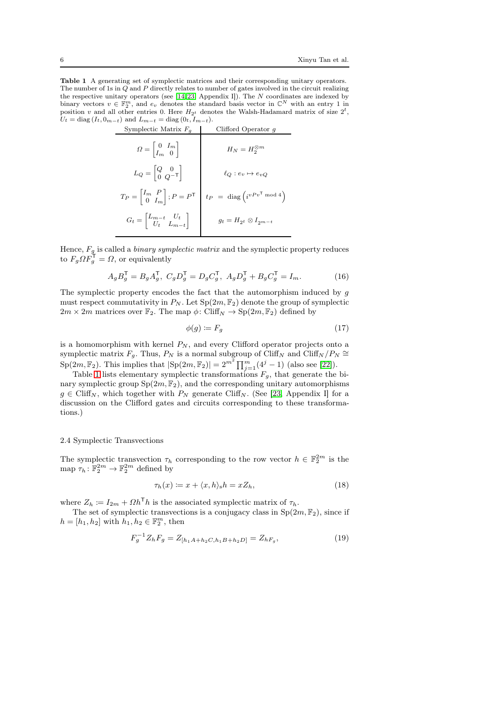<span id="page-5-1"></span>Table 1 A generating set of symplectic matrices and their corresponding unitary operators. The number of 1s in Q and P directly relates to number of gates involved in the circuit realizing the respective unitary operators (see [\[14,](#page-23-10) [23,](#page-24-0) Appendix I]). The  $N$  coordinates are indexed by binary vectors  $v \in \mathbb{F}_2^m$ , and  $e_v$  denotes the standard basis vector in  $\mathbb{C}^N$  with an entry 1 in position v and all other entries 0. Here  $H_{2<sup>t</sup>}$  denotes the Walsh-Hadamard matrix of size  $2<sup>t</sup>$ ,  $U_t = \text{diag}(I_t, 0_{m-t})$  and  $L_{m-t} = \text{diag}(0_t, I_{m-t}).$ 

| Symplectic Matrix $F_q$                                                                   | Clifford Operator q                                              |
|-------------------------------------------------------------------------------------------|------------------------------------------------------------------|
| $\Omega = \begin{bmatrix} 0 & I_m \\ I_m & 0 \end{bmatrix}$                               | $H_N = H_2^{\otimes m}$                                          |
| $L_Q = \begin{vmatrix} Q & 0 \\ 0 & Q^{-\mathsf{T}} \end{vmatrix}$                        | $\ell_Q: e_v \mapsto e_{vQ}$                                     |
| $T_P = \left  \begin{matrix} I_m & P \\ 0 & I_m \end{matrix} \right ; P = P^{\mathsf{T}}$ | $t_P = \text{diag}\left(i^{\nu P v^{\mathsf{T}}} \bmod 4\right)$ |
| $G_t = \begin{vmatrix} L_{m-t} & U_t \\ U_t & L_{m-t} \end{vmatrix}$                      | $g_t = H_{2^t} \otimes I_{2^{m-t}}$                              |

Hence,  $F_g$  is called a *binary symplectic matrix* and the symplectic property reduces to  $F_g \Omega F_g^{\mathsf{T}} = \Omega$ , or equivalently

$$
A_g B_g^{\mathsf{T}} = B_g A_g^{\mathsf{T}}, \ C_g D_g^{\mathsf{T}} = D_g C_g^{\mathsf{T}}, \ A_g D_g^{\mathsf{T}} + B_g C_g^{\mathsf{T}} = I_m.
$$
 (16)

The symplectic property encodes the fact that the automorphism induced by  $g$ must respect commutativity in  $P_N$ . Let  $Sp(2m, \mathbb{F}_2)$  denote the group of symplectic  $2m \times 2m$  matrices over  $\mathbb{F}_2$ . The map  $\phi$ : Cliff<sub>N</sub>  $\rightarrow$  Sp $(2m, \mathbb{F}_2)$  defined by

$$
\phi(g) \coloneqq F_g \tag{17}
$$

is a homomorphism with kernel  $P_N$ , and every Clifford operator projects onto a symplectic matrix  $F_g$ . Thus,  $P_N$  is a normal subgroup of Cliff<sub>N</sub> and Cliff<sub>N</sub>  $/P_N \cong$  $\text{Sp}(2m, \mathbb{F}_2)$ . This implies that  $|\text{Sp}(2m, \mathbb{F}_2)| = 2^{m^2} \prod_{j=1}^m (4^j - 1)$  (also see [\[22\]](#page-23-17)).

Table [1](#page-5-1) lists elementary symplectic transformations  $F_g$ , that generate the binary symplectic group  $Sp(2m, \mathbb{F}_2)$ , and the corresponding unitary automorphisms  $g \in \text{Cliff}_N$ , which together with  $P_N$  generate Cliff<sub>N</sub>. (See [\[23,](#page-24-0) Appendix I] for a discussion on the Clifford gates and circuits corresponding to these transformations.)

# 2.4 Symplectic Transvections

The symplectic transvection  $\tau_h$  corresponding to the row vector  $h \in \mathbb{F}_2^{2m}$  is the map  $\tau_h: \mathbb{F}_2^{2m} \to \mathbb{F}_2^{2m}$  defined by

<span id="page-5-0"></span>
$$
\tau_h(x) \coloneqq x + \langle x, h \rangle_s h = x Z_h,\tag{18}
$$

where  $Z_h := I_{2m} + \Omega h^{\mathsf{T}} h$  is the associated symplectic matrix of  $\tau_h$ .

The set of symplectic transvections is a conjugacy class in  $Sp(2m, \mathbb{F}_2)$ , since if  $h = [h_1, h_2]$  with  $h_1, h_2 \in \mathbb{F}_2^m$ , then

$$
F_g^{-1} Z_h F_g = Z_{[h_1 A + h_2 C, h_1 B + h_2 D]} = Z_{h F_g},
$$
\n(19)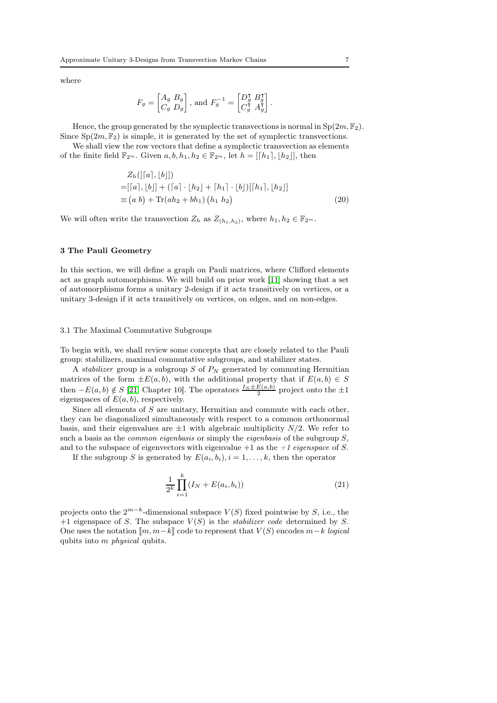where

$$
F_g = \begin{bmatrix} A_g & B_g \\ C_g & D_g \end{bmatrix}
$$
, and 
$$
F_g^{-1} = \begin{bmatrix} D_g^{\mathsf{T}} & B_g^{\mathsf{T}} \\ C_g^{\mathsf{T}} & A_g^{\mathsf{T}} \end{bmatrix}
$$

Hence, the group generated by the symplectic transvections is normal in  $\text{Sp}(2m, \mathbb{F}_2)$ . Since  $Sp(2m, \mathbb{F}_2)$  is simple, it is generated by the set of symplectic transvections.

We shall view the row vectors that define a symplectic transvection as elements of the finite field  $\mathbb{F}_{2^m}$ . Given  $a, b, h_1, h_2 \in \mathbb{F}_{2^m}$ , let  $h = |[h_1], |h_2||$ , then

$$
Z_h([[a],[b]])
$$
  
=[[a],[b]] + ([a] \cdot [h<sub>2</sub>] + [h<sub>1</sub>] \cdot [b])[[h<sub>1</sub>],[h<sub>2</sub>]]  

$$
\equiv (a\ b) + \text{Tr}(ah2 + bh1) (h1 h2)
$$
 (20)

<span id="page-6-1"></span>.

We will often write the transvection  $Z_h$  as  $Z_{(h_1,h_2)}$ , where  $h_1, h_2 \in \mathbb{F}_{2^m}$ .

# <span id="page-6-0"></span>3 The Pauli Geometry

In this section, we will define a graph on Pauli matrices, where Clifford elements act as graph automorphisms. We will build on prior work [\[11\]](#page-23-8) showing that a set of automorphisms forms a unitary 2-design if it acts transitively on vertices, or a unitary 3-design if it acts transitively on vertices, on edges, and on non-edges.

### 3.1 The Maximal Commutative Subgroups

To begin with, we shall review some concepts that are closely related to the Pauli group: stabilizers, maximal commutative subgroups, and stabilizer states.

A *stabilizer* group is a subgroup  $S$  of  $P_N$  generated by commuting Hermitian matrices of the form  $\pm E(a, b)$ , with the additional property that if  $E(a, b) \in S$ then  $-E(a, b) \notin S$  [\[21,](#page-23-16) Chapter 10]. The operators  $\frac{I_N \pm E(a, b)}{2}$  project onto the  $\pm 1$ eigenspaces of  $E(a, b)$ , respectively.

Since all elements of  $S$  are unitary, Hermitian and commute with each other, they can be diagonalized simultaneously with respect to a common orthonormal basis, and their eigenvalues are  $\pm 1$  with algebraic multiplicity  $N/2$ . We refer to such a basis as the *common eigenbasis* or simply the *eigenbasis* of the subgroup  $S$ , and to the subspace of eigenvectors with eigenvalue  $+1$  as the  $+1$  eigenspace of S.

If the subgroup S is generated by  $E(a_i, b_i)$ ,  $i = 1, ..., k$ , then the operator

$$
\frac{1}{2^k} \prod_{i=1}^k (I_N + E(a_i, b_i))
$$
\n(21)

projects onto the  $2^{m-k}$ -dimensional subspace  $V(S)$  fixed pointwise by S, i.e., the +1 eigenspace of S. The subspace  $V(S)$  is the *stabilizer code* determined by S. One uses the notation  $[m, m-k]$  code to represent that  $V(S)$  encodes  $m-k$  logical qubits into m physical qubits.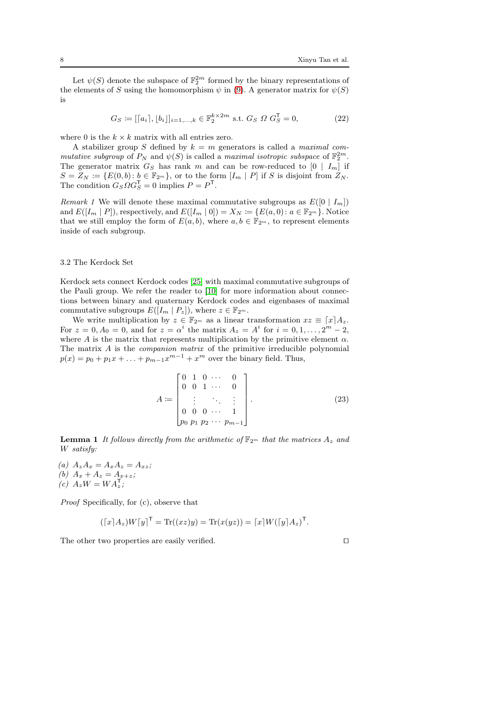Let  $\psi(S)$  denote the subspace of  $\mathbb{F}_2^{2m}$  formed by the binary representations of the elements of S using the homomorphism  $\psi$  in [\(9\)](#page-4-1). A generator matrix for  $\psi(S)$ is

$$
G_S \coloneqq [[a_i], [b_i]]_{i=1,\dots,k} \in \mathbb{F}_2^{k \times 2m} \text{ s.t. } G_S \ \Omega \ G_S^{\mathsf{T}} = 0,
$$
 (22)

where 0 is the  $k \times k$  matrix with all entries zero.

A stabilizer group S defined by  $k = m$  generators is called a *maximal com*mutative subgroup of  $P_N$  and  $\psi(S)$  is called a maximal isotropic subspace of  $\mathbb{F}_2^{2m}$ . The generator matrix  $G_S$  has rank m and can be row-reduced to  $[0 \mid I_m]$  if  $S = Z_N \coloneqq \{E(0, b): b \in \mathbb{F}_{2^m}\},\$  or to the form  $[I_m | P]$  if S is disjoint from  $Z_N$ . The condition  $\hat{G}_S \Omega G_S^{\mathsf{T}} = 0$  implies  $P = P^{\mathsf{T}}$ .

Remark 1 We will denote these maximal commutative subgroups as  $E([0 | I_m])$ and  $E([I_m | P])$ , respectively, and  $E([I_m | 0]) = X_N := \{E(a, 0): a \in \mathbb{F}_{2^m}\}\.$  Notice that we still employ the form of  $E(a, b)$ , where  $a, b \in \mathbb{F}_{2^m}$ , to represent elements inside of each subgroup.

# 3.2 The Kerdock Set

Kerdock sets connect Kerdock codes [\[25\]](#page-24-2) with maximal commutative subgroups of the Pauli group. We refer the reader to [\[10\]](#page-23-7) for more information about connections between binary and quaternary Kerdock codes and eigenbases of maximal commutative subgroups  $E([I_m | P_z]),$  where  $z \in \mathbb{F}_{2^m}.$ 

We write multiplication by  $z \in \mathbb{F}_{2^m}$  as a linear transformation  $xz \equiv [x]A_z$ . For  $z = 0, A_0 = 0$ , and for  $z = \alpha^i$  the matrix  $A_z = A^i$  for  $i = 0, 1, ..., 2^m - 2$ , where A is the matrix that represents multiplication by the primitive element  $\alpha$ . The matrix A is the *companion matrix* of the primitive irreducible polynomial  $p(x) = p_0 + p_1 x + \ldots + p_{m-1} x^{m-1} + x^m$  over the binary field. Thus,

<span id="page-7-0"></span>
$$
A := \begin{bmatrix} 0 & 1 & 0 & \cdots & 0 \\ 0 & 0 & 1 & \cdots & 0 \\ \vdots & \vdots & \ddots & \vdots \\ 0 & 0 & 0 & \cdots & 1 \\ p_0 & p_1 & p_2 & \cdots & p_{m-1} \end{bmatrix} .
$$
 (23)

<span id="page-7-1"></span>**Lemma 1** It follows directly from the arithmetic of  $\mathbb{F}_{2^m}$  that the matrices  $A_z$  and W satisfy:

(a)  $A_z A_x = A_x A_z = A_{xz};$ (b)  $A_x + A_z = A_{x+z};$  $(c)$   $A_z W = W A_z^{\mathsf{T}};$ 

Proof Specifically, for (c), observe that

$$
(\lceil x \rceil A_z)W\lceil y \rceil^{\mathsf{T}} = \text{Tr}((xz)y) = \text{Tr}(x(yz)) = \lceil x \rceil W(\lceil y \rceil A_z)^{\mathsf{T}}.
$$

The other two properties are easily verified. □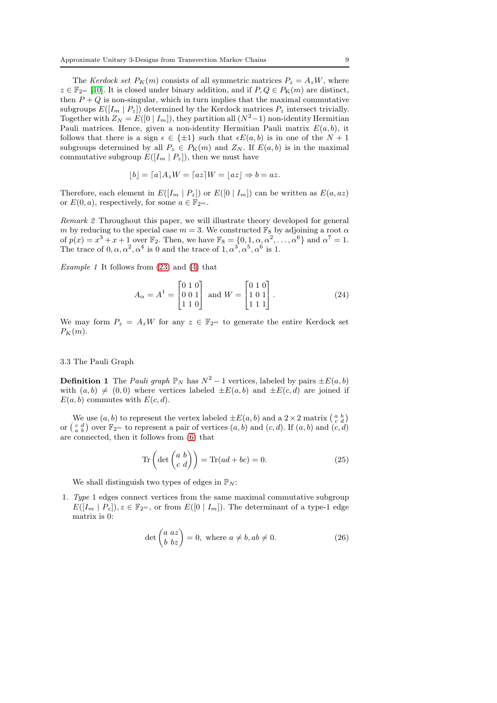The Kerdock set  $P_K(m)$  consists of all symmetric matrices  $P_z = A_z W$ , where  $z \in \mathbb{F}_{2^m}$  [\[10\]](#page-23-7). It is closed under binary addition, and if  $P, Q \in P_K(m)$  are distinct, then  $P + Q$  is non-singular, which in turn implies that the maximal commutative subgroups  $E([I_m | P_z])$  determined by the Kerdock matrices  $P_z$  intersect trivially. Together with  $Z_N = E([0 | I_m])$ , they partition all  $(N^2-1)$  non-identity Hermitian Pauli matrices. Hence, given a non-identity Hermitian Pauli matrix  $E(a, b)$ , it follows that there is a sign  $\epsilon \in {\pm 1}$  such that  $\epsilon E(a, b)$  is in one of the  $N + 1$ subgroups determined by all  $P_z \in P_K(m)$  and  $Z_N$ . If  $E(a, b)$  is in the maximal commutative subgroup  $E([I_m | P_z])$ , then we must have

$$
\lfloor b \rfloor = \lceil a \rceil A_z W = \lceil az \rceil W = \lfloor az \rfloor \Rightarrow b = az.
$$

Therefore, each element in  $E([I_m | P_z])$  or  $E([0 | I_m])$  can be written as  $E(a, az)$ or  $E(0, a)$ , respectively, for some  $a \in \mathbb{F}_{2^m}$ .

Remark 2 Throughout this paper, we will illustrate theory developed for general m by reducing to the special case  $m = 3$ . We constructed  $\mathbb{F}_8$  by adjoining a root  $\alpha$ of  $p(x) = x^3 + x + 1$  over  $\mathbb{F}_2$ . Then, we have  $\mathbb{F}_8 = \{0, 1, \alpha, \alpha^2, \dots, \alpha^6\}$  and  $\alpha^7 = 1$ . The trace of  $0, \alpha, \alpha^2, \alpha^4$  is 0 and the trace of  $1, \alpha^3, \alpha^5, \alpha^6$  is 1.

*Example 1* It follows from  $(23)$  and  $(4)$  that

$$
A_{\alpha} = A^{1} = \begin{bmatrix} 0 & 1 & 0 \\ 0 & 0 & 1 \\ 1 & 1 & 0 \end{bmatrix} \text{ and } W = \begin{bmatrix} 0 & 1 & 0 \\ 1 & 0 & 1 \\ 1 & 1 & 1 \end{bmatrix}.
$$
 (24)

We may form  $P_z = A_z W$  for any  $z \in \mathbb{F}_{2^m}$  to generate the entire Kerdock set  $P_K(m)$ .

# 3.3 The Pauli Graph

**Definition 1** The *Pauli graph*  $\mathbb{P}_N$  has  $N^2 - 1$  vertices, labeled by pairs  $\pm E(a, b)$ with  $(a, b) \neq (0, 0)$  where vertices labeled  $\pm E(a, b)$  and  $\pm E(c, d)$  are joined if  $E(a, b)$  commutes with  $E(c, d)$ .

We use  $(a, b)$  to represent the vertex labeled  $\pm E(a, b)$  and a  $2 \times 2$  matrix  $\begin{pmatrix} a & b \\ c & d \end{pmatrix}$ or  $\begin{pmatrix} c & d \\ a & b \end{pmatrix}$  over  $\mathbb{F}_{2^m}$  to represent a pair of vertices  $(a, b)$  and  $(c, d)$ . If  $(a, b)$  and  $\overset{(c, d)}{(c, d)}$ are connected, then it follows from [\(6\)](#page-3-0) that

<span id="page-8-0"></span>
$$
\operatorname{Tr}\left(\det\begin{pmatrix} a & b \\ c & d \end{pmatrix}\right) = \operatorname{Tr}(ad + bc) = 0.
$$
 (25)

We shall distinguish two types of edges in  $\mathbb{P}_N$ :

1. Type 1 edges connect vertices from the same maximal commutative subgroup  $E([I_m | P_z]), z \in \mathbb{F}_{2^m}$ , or from  $E([0 | I_m]).$  The determinant of a type-1 edge matrix is 0:

<span id="page-8-1"></span>
$$
\det \begin{pmatrix} a & a z \\ b & b z \end{pmatrix} = 0, \text{ where } a \neq b, ab \neq 0.
$$
 (26)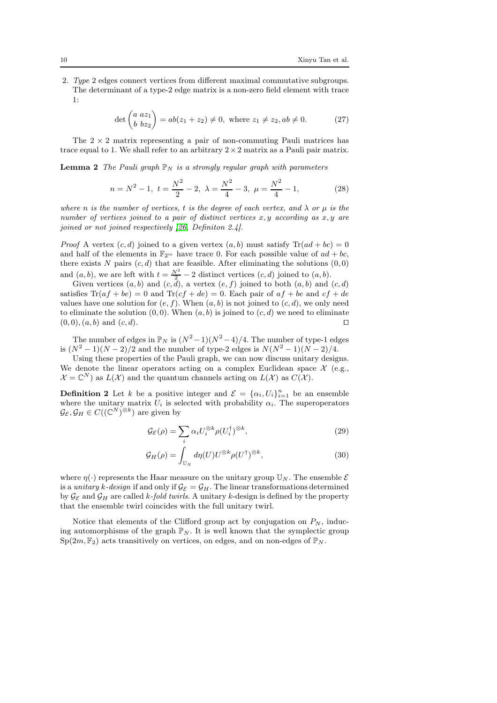2. Type 2 edges connect vertices from different maximal commutative subgroups. The determinant of a type-2 edge matrix is a non-zero field element with trace 1:

<span id="page-9-0"></span>
$$
\det \begin{pmatrix} a & a z_1 \\ b & b z_2 \end{pmatrix} = ab(z_1 + z_2) \neq 0, \text{ where } z_1 \neq z_2, ab \neq 0. \tag{27}
$$

The  $2 \times 2$  matrix representing a pair of non-commuting Pauli matrices has trace equal to 1. We shall refer to an arbitrary  $2 \times 2$  matrix as a Pauli pair matrix.

**Lemma 2** The Pauli graph  $\mathbb{P}_N$  is a strongly regular graph with parameters

$$
n = N2 - 1, t = \frac{N2}{2} - 2, \lambda = \frac{N2}{4} - 3, \mu = \frac{N2}{4} - 1,
$$
 (28)

where n is the number of vertices, t is the degree of each vertex, and  $\lambda$  or  $\mu$  is the number of vertices joined to a pair of distinct vertices  $x, y$  according as  $x, y$  are joined or not joined respectively [\[26,](#page-24-3) Definiton 2.4].

*Proof* A vertex  $(c, d)$  joined to a given vertex  $(a, b)$  must satisfy  $Tr(ad + bc) = 0$ and half of the elements in  $\mathbb{F}_{2^m}$  have trace 0. For each possible value of  $ad + bc$ , there exists N pairs  $(c, d)$  that are feasible. After eliminating the solutions  $(0, 0)$ and  $(a, b)$ , we are left with  $t = \frac{N^2}{2} - 2$  distinct vertices  $(c, d)$  joined to  $(a, b)$ .

Given vertices  $(a, b)$  and  $(c, d)$ , a vertex  $(e, f)$  joined to both  $(a, b)$  and  $(c, d)$ satisfies  $\text{Tr}(af + be) = 0$  and  $\text{Tr}(cf + de) = 0$ . Each pair of  $af + be$  and  $cf + de$ values have one solution for  $(e, f)$ . When  $(a, b)$  is not joined to  $(c, d)$ , we only need to eliminate the solution  $(0, 0)$ . When  $(a, b)$  is joined to  $(c, d)$  we need to eliminate  $(0, 0), (a, b)$  and  $(c, d)$ . □

The number of edges in  $\mathbb{P}_N$  is  $(N^2-1)(N^2-4)/4$ . The number of type-1 edges is  $(N^2 - 1)(N - 2)/2$  and the number of type-2 edges is  $N(N^2 - 1)(N - 2)/4$ .

Using these properties of the Pauli graph, we can now discuss unitary designs. We denote the linear operators acting on a complex Euclidean space  $\mathcal{X}$  (e.g.,  $\mathcal{X} = \mathbb{C}^N$  as  $L(\mathcal{X})$  and the quantum channels acting on  $L(\mathcal{X})$  as  $C(\mathcal{X})$ .

**Definition 2** Let k be a positive integer and  $\mathcal{E} = {\alpha_i, U_i}_{i=1}^n$  be an ensemble where the unitary matrix  $U_i$  is selected with probability  $\alpha_i$ . The superoperators  $\mathcal{G}_{\mathcal{E}}, \mathcal{G}_H \in C((\mathbb{C}^N)^{\otimes k})$  are given by

$$
\mathcal{G}_{\mathcal{E}}(\rho) = \sum_{i} \alpha_i U_i^{\otimes k} \rho(U_i^{\dagger})^{\otimes k},\tag{29}
$$

$$
\mathcal{G}_H(\rho) = \int_{\mathbb{U}_N} d\eta(U) U^{\otimes k} \rho(U^{\dagger})^{\otimes k},\tag{30}
$$

where  $\eta(\cdot)$  represents the Haar measure on the unitary group  $\mathbb{U}_N$ . The ensemble  $\mathcal E$ is a unitary k-design if and only if  $\mathcal{G}_{\mathcal{E}} = \mathcal{G}_H$ . The linear transformations determined by  $\mathcal{G}_{\mathcal{E}}$  and  $\mathcal{G}_{H}$  are called k-fold twirls. A unitary k-design is defined by the property that the ensemble twirl coincides with the full unitary twirl.

Notice that elements of the Clifford group act by conjugation on  $P_N$ , inducing automorphisms of the graph  $\mathbb{P}_N$ . It is well known that the symplectic group  $Sp(2m, \mathbb{F}_2)$  acts transitively on vertices, on edges, and on non-edges of  $\mathbb{P}_N$ .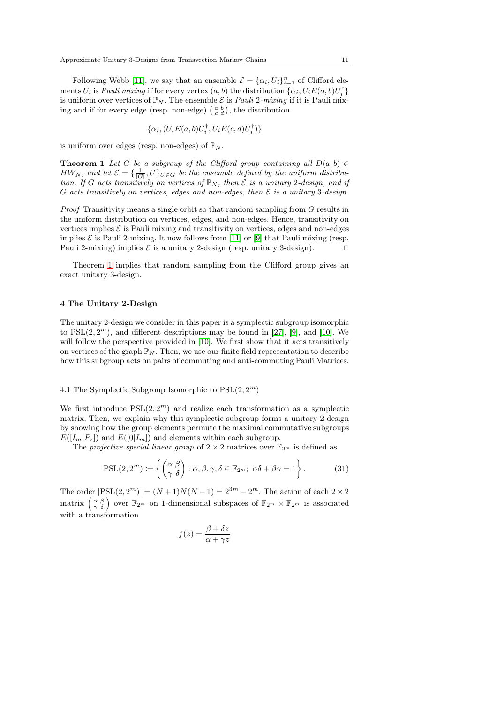Following Webb [\[11\]](#page-23-8), we say that an ensemble  $\mathcal{E} = {\alpha_i, U_i}_{i=1}^n$  of Clifford elements  $U_i$  is *Pauli mixing* if for every vertex  $(a, b)$  the distribution  $\{\alpha_i, U_i E(a, b) U_i^{\dagger}\}$ is uniform over vertices of  $\mathbb{P}_N$ . The ensemble  $\mathcal E$  is *Pauli 2-mixing* if it is Pauli mixing and if for every edge (resp. non-edge)  $\begin{pmatrix} a & b \\ c & d \end{pmatrix}$ , the distribution

$$
\{\alpha_i,(U_iE(a,b)U_i^{\dagger},U_iE(c,d)U_i^{\dagger})\}
$$

<span id="page-10-1"></span>is uniform over edges (resp. non-edges) of  $\mathbb{P}_N$ .

**Theorem 1** Let G be a subgroup of the Clifford group containing all  $D(a, b) \in$  $HW_N$ , and let  $\mathcal{E} = {\frac{1}{|G|}, U}_{U \in G}$  be the ensemble defined by the uniform distribution. If G acts transitively on vertices of  $\mathbb{P}_N$ , then E is a unitary 2-design, and if G acts transitively on vertices, edges and non-edges, then  $\mathcal E$  is a unitary 3-design.

Proof Transitivity means a single orbit so that random sampling from G results in the uniform distribution on vertices, edges, and non-edges. Hence, transitivity on vertices implies  $\mathcal E$  is Pauli mixing and transitivity on vertices, edges and non-edges implies  $\mathcal E$  is Pauli 2-mixing. It now follows from [\[11\]](#page-23-8) or [\[9\]](#page-23-6) that Pauli mixing (resp.<br>Pauli 2-mixing) implies  $\mathcal E$  is a unitary 2-design (resp. unitary 3-design) Pauli 2-mixing) implies  $\mathcal E$  is a unitary 2-design (resp. unitary 3-design).

Theorem [1](#page-10-1) implies that random sampling from the Clifford group gives an exact unitary 3-design.

### <span id="page-10-0"></span>4 The Unitary 2-Design

The unitary 2-design we consider in this paper is a symplectic subgroup isomorphic to  $PSL(2, 2<sup>m</sup>)$ , and different descriptions may be found in [\[27\]](#page-24-4), [\[9\]](#page-23-6), and [\[10\]](#page-23-7). We will follow the perspective provided in [\[10\]](#page-23-7). We first show that it acts transitively on vertices of the graph  $\mathbb{P}_N$ . Then, we use our finite field representation to describe how this subgroup acts on pairs of commuting and anti-commuting Pauli Matrices.

# <span id="page-10-2"></span>4.1 The Symplectic Subgroup Isomorphic to  $PSL(2, 2<sup>m</sup>)$

We first introduce  $PSL(2, 2<sup>m</sup>)$  and realize each transformation as a symplectic matrix. Then, we explain why this symplectic subgroup forms a unitary 2-design by showing how the group elements permute the maximal commutative subgroups  $E([I_m|P_z])$  and  $E([0|I_m])$  and elements within each subgroup.

The projective special linear group of  $2 \times 2$  matrices over  $\mathbb{F}_{2^m}$  is defined as

$$
\text{PSL}(2, 2^m) \coloneqq \left\{ \begin{pmatrix} \alpha & \beta \\ \gamma & \delta \end{pmatrix} : \alpha, \beta, \gamma, \delta \in \mathbb{F}_{2^m}; \ \alpha \delta + \beta \gamma = 1 \right\}.
$$
\n(31)

The order  $|PSL(2, 2<sup>m</sup>)| = (N + 1)N(N - 1) = 2<sup>3m</sup> - 2<sup>m</sup>$ . The action of each  $2 \times 2$ matrix  $\begin{pmatrix} \alpha & \beta \\ \gamma & \delta \end{pmatrix}$  over  $\mathbb{F}_{2^m}$  on 1-dimensional subspaces of  $\mathbb{F}_{2^m} \times \mathbb{F}_{2^m}$  is associated with a transformation

$$
f(z) = \frac{\beta + \delta z}{\alpha + \gamma z}
$$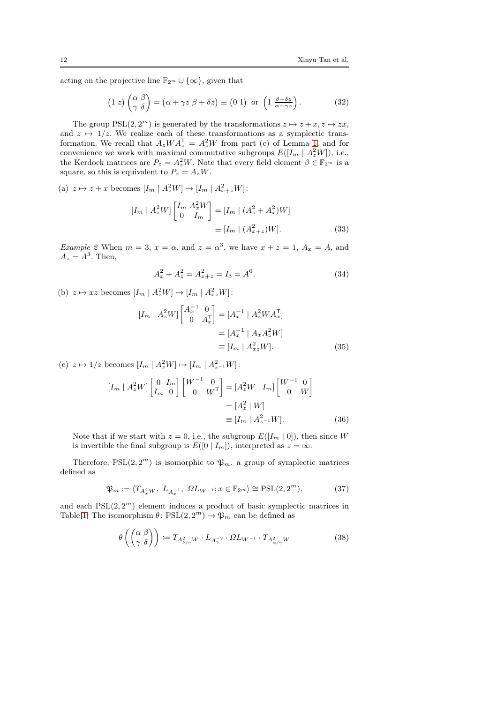acting on the projective line  $\mathbb{F}_{2^m} \cup {\infty}$ , given that

$$
(1\ z)\begin{pmatrix} \alpha\ \beta \\ \gamma\ \delta \end{pmatrix} = (\alpha + \gamma z)\beta + \delta z) \equiv (0\ 1) \text{ or } \left(1\ \frac{\beta + \delta z}{\alpha + \gamma z}\right). \tag{32}
$$

The group  $PSL(2, 2<sup>m</sup>)$  is generated by the transformations  $z \mapsto z + x, z \mapsto zx$ , and  $z \mapsto 1/z$ . We realize each of these transformations as a symplectic transformation. We recall that  $A_zWA_z^{\mathsf{T}} = A_z^2W$  from part (c) of Lemma [1,](#page-7-1) and for convenience we work with maximal commutative subgroups  $E([I_m \mid A_z^2 W])$ , i.e., the Kerdock matrices are  $P_z = A_z^2 W$ . Note that every field element  $\beta \in \mathbb{F}_{2^m}$  is a square, so this is equivalent to  $P_z = A_z W$ .

(a)  $z \mapsto z + x$  becomes  $[I_m | A_z^2 W] \mapsto [I_m | A_{x+z}^2 W]$ :

$$
[I_m | A_z^2 W] \begin{bmatrix} I_m & A_x^2 W \\ 0 & I_m \end{bmatrix} = [I_m | (A_z^2 + A_x^2) W] \n\equiv [I_m | (A_{x+z}^2) W].
$$
\n(33)

*Example 2* When  $m = 3$ ,  $x = \alpha$ , and  $z = \alpha^3$ , we have  $x + z = 1$ ,  $A_x = A$ , and  $A_z = A^3$ . Then,

$$
A_x^2 + A_z^2 = A_{x+z}^2 = I_3 = A^0.
$$
\n(34)

(b)  $z \mapsto xz$  becomes  $[I_m | A_z^2 W] \mapsto [I_m | A_{xz}^2 W]$ :

$$
[I_m \mid A_z^2 W] \begin{bmatrix} A_x^{-1} & 0 \\ 0 & A_x^T \end{bmatrix} = [A_x^{-1} \mid A_z^2 W A_x^T]
$$
  
=  $[A_x^{-1} \mid A_x A_z^2 W]$   
=  $[I_m \mid A_x^2 W].$  (35)

(c)  $z \mapsto 1/z$  becomes  $[I_m | A_z^2 W] \mapsto [I_m | A_{z^{-1}}^2 W]$ :

$$
\begin{aligned}\n\left[I_m \mid A_z^2 W\right] \begin{bmatrix} 0 & I_m \\ I_m & 0 \end{bmatrix} \begin{bmatrix} W^{-1} & 0 \\ 0 & W^{\mathsf{T}} \end{bmatrix} &= \left[A_z^2 W \mid I_m\right] \begin{bmatrix} W^{-1} & 0 \\ 0 & W \end{bmatrix} \\
&= \left[A_z^2 \mid W\right] \\
&\equiv \left[I_m \mid A_{z^{-1}}^2 W\right].\n\end{aligned} \tag{36}
$$

Note that if we start with  $z = 0$ , i.e., the subgroup  $E([I_m \mid 0])$ , then since W is invertible the final subgroup is  $E([0 | I_m])$ , interpreted as  $z = \infty$ .

Therefore,  $PSL(2, 2<sup>m</sup>)$  is isomorphic to  $\mathfrak{P}_m$ , a group of symplectic matrices defined as

$$
\mathfrak{P}_m := \langle T_{A_x^2 W}, \ L_{A_x^{-1}}, \ \Omega L_{W^{-1}}; x \in \mathbb{F}_{2^m} \rangle \cong \text{PSL}(2, 2^m), \tag{37}
$$

and each  $PSL(2, 2<sup>m</sup>)$  element induces a product of basic symplectic matrices in Table [1.](#page-5-1) The isomorphism  $\theta \colon \mathrm{PSL}(2, 2^m) \to \mathfrak{P}_m$  can be defined as

<span id="page-11-0"></span>
$$
\theta\left(\begin{pmatrix} \alpha & \beta \\ \gamma & \delta \end{pmatrix}\right) := T_{A_{\delta/\gamma}^2 W} \cdot L_{A_{\gamma}^{-2}} \cdot \Omega L_{W^{-1}} \cdot T_{A_{\alpha/\gamma}^2 W} \tag{38}
$$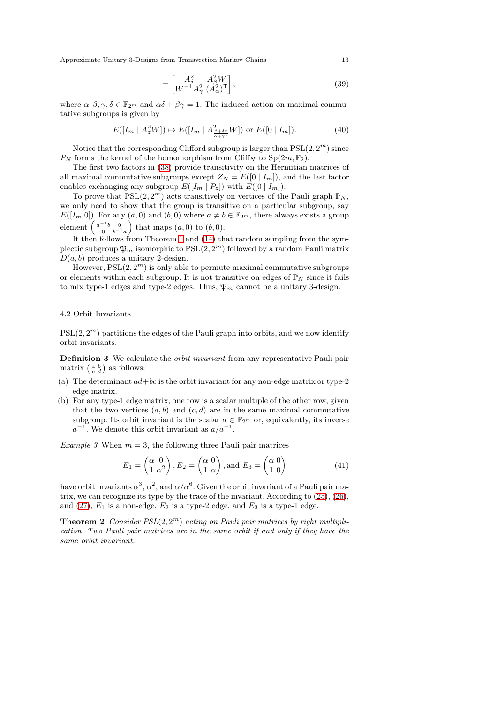Approximate Unitary 3-Designs from Transvection Markov Chains 13

$$
= \begin{bmatrix} A_{\delta}^2 & A_{\beta}^2 W \\ W^{-1} A_{\gamma}^2 & (A_{\alpha}^2)^{\mathsf{T}} \end{bmatrix},\tag{39}
$$

where  $\alpha, \beta, \gamma, \delta \in \mathbb{F}_{2^m}$  and  $\alpha\delta + \beta\gamma = 1$ . The induced action on maximal commutative subgroups is given by

$$
E([I_m \mid A_z^2 W]) \mapsto E([I_m \mid A_{\frac{\beta + \delta z}{\alpha + \gamma z}}^2 W]) \text{ or } E([0 \mid I_m]). \tag{40}
$$

Notice that the corresponding Clifford subgroup is larger than  $PSL(2, 2<sup>m</sup>)$  since  $P_N$  forms the kernel of the homomorphism from Cliff<sub>N</sub> to Sp( $2m, \mathbb{F}_2$ ).

The first two factors in [\(38\)](#page-11-0) provide transitivity on the Hermitian matrices of all maximal commutative subgroups except  $Z_N = E([0 | I_m])$ , and the last factor enables exchanging any subgroup  $E([I_m | P_z])$  with  $E([0 | I_m]).$ 

To prove that  $PSL(2, 2<sup>m</sup>)$  acts transitively on vertices of the Pauli graph  $\mathbb{P}_N$ , we only need to show that the group is transitive on a particular subgroup, say  $E([I_m|0])$ . For any  $(a, 0)$  and  $(b, 0)$  where  $a \neq b \in \mathbb{F}_{2^m}$ , there always exists a group element  $\begin{pmatrix} a^{-1}b & 0 \\ 0 & b^{-1}a \end{pmatrix}$  that maps  $(a, 0)$  to  $(b, 0)$ .

It then follows from Theorem [1](#page-10-1) and [\(14\)](#page-4-2) that random sampling from the symplectic subgroup  $\mathfrak{P}_m$  isomorphic to  $\mathrm{PSL}(2, 2^m)$  followed by a random Pauli matrix  $D(a, b)$  produces a unitary 2-design.

However,  $PSL(2, 2<sup>m</sup>)$  is only able to permute maximal commutative subgroups or elements within each subgroup. It is not transitive on edges of  $\mathbb{P}_N$  since it fails to mix type-1 edges and type-2 edges. Thus,  $\mathfrak{P}_m$  cannot be a unitary 3-design.

# 4.2 Orbit Invariants

 $PSL(2, 2<sup>m</sup>)$  partitions the edges of the Pauli graph into orbits, and we now identify orbit invariants.

Definition 3 We calculate the orbit invariant from any representative Pauli pair matrix  $\begin{pmatrix} a & b \\ c & d \end{pmatrix}$  as follows:

- (a) The determinant  $ad+bc$  is the orbit invariant for any non-edge matrix or type-2 edge matrix.
- (b) For any type-1 edge matrix, one row is a scalar multiple of the other row, given that the two vertices  $(a, b)$  and  $(c, d)$  are in the same maximal commutative subgroup. Its orbit invariant is the scalar  $a \in \mathbb{F}_{2^m}$  or, equivalently, its inverse  $a^{-1}$ . We denote this orbit invariant as  $a/a^{-1}$ .

Example 3 When  $m = 3$ , the following three Pauli pair matrices

$$
E_1 = \begin{pmatrix} \alpha & 0 \\ 1 & \alpha^2 \end{pmatrix}, E_2 = \begin{pmatrix} \alpha & 0 \\ 1 & \alpha \end{pmatrix}, \text{and } E_3 = \begin{pmatrix} \alpha & 0 \\ 1 & 0 \end{pmatrix}
$$
 (41)

have orbit invariants  $\alpha^3, \alpha^2,$  and  $\alpha/\alpha^6.$  Given the orbit invariant of a Pauli pair matrix, we can recognize its type by the trace of the invariant. According to [\(25\)](#page-8-0), [\(26\)](#page-8-1), and  $(27)$ ,  $E_1$  is a non-edge,  $E_2$  is a type-2 edge, and  $E_3$  is a type-1 edge.

<span id="page-12-0"></span>**Theorem 2** Consider  $PSL(2, 2<sup>m</sup>)$  acting on Pauli pair matrices by right multiplication. Two Pauli pair matrices are in the same orbit if and only if they have the same orbit invariant.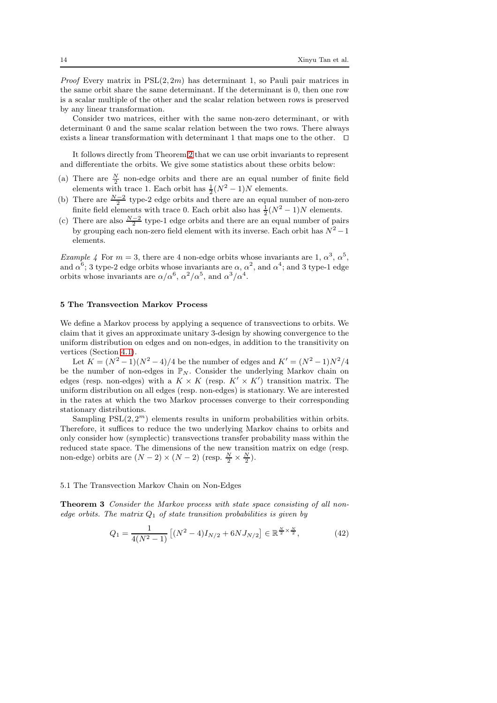*Proof* Every matrix in  $PSL(2, 2m)$  has determinant 1, so Pauli pair matrices in the same orbit share the same determinant. If the determinant is 0, then one row is a scalar multiple of the other and the scalar relation between rows is preserved by any linear transformation.

Consider two matrices, either with the same non-zero determinant, or with determinant 0 and the same scalar relation between the two rows. There always exists a linear transformation with determinant 1 that maps one to the other. ⊓⊔

It follows directly from Theorem [2](#page-12-0) that we can use orbit invariants to represent and differentiate the orbits. We give some statistics about these orbits below:

- (a) There are  $\frac{N}{2}$  non-edge orbits and there are an equal number of finite field elements with trace 1. Each orbit has  $\frac{1}{2}(N^2-1)N$  elements.
- (b) There are  $\frac{N-2}{2}$  type-2 edge orbits and there are an equal number of non-zero finite field elements with trace 0. Each orbit also has  $\frac{1}{2}(N^2-1)N$  elements.
- (c) There are also  $\frac{N-2}{2}$  type-1 edge orbits and there are an equal number of pairs by grouping each non-zero field element with its inverse. Each orbit has  $N^2 - 1$ elements.

*Example 4* For  $m = 3$ , there are 4 non-edge orbits whose invariants are 1,  $\alpha^3$ ,  $\alpha^5$ , and  $\alpha^6$ ; 3 type-2 edge orbits whose invariants are  $\alpha$ ,  $\alpha^2$ , and  $\alpha^4$ ; and 3 type-1 edge orbits whose invariants are  $\alpha/\alpha^6$ ,  $\alpha^2/\alpha^5$ , and  $\alpha^3/\alpha^4$ .

# <span id="page-13-0"></span>5 The Transvection Markov Process

We define a Markov process by applying a sequence of transvections to orbits. We claim that it gives an approximate unitary 3-design by showing convergence to the uniform distribution on edges and on non-edges, in addition to the transitivity on vertices (Section [4.1\)](#page-10-2).

Let  $K = (N^2 - 1)(N^2 - 4)/4$  be the number of edges and  $K' = (N^2 - 1)N^2/4$ be the number of non-edges in  $\mathbb{P}_N$ . Consider the underlying Markov chain on edges (resp. non-edges) with a  $K \times K$  (resp.  $K' \times K'$ ) transition matrix. The uniform distribution on all edges (resp. non-edges) is stationary. We are interested in the rates at which the two Markov processes converge to their corresponding stationary distributions.

Sampling  $PSL(2, 2<sup>m</sup>)$  elements results in uniform probabilities within orbits. Therefore, it suffices to reduce the two underlying Markov chains to orbits and only consider how (symplectic) transvections transfer probability mass within the reduced state space. The dimensions of the new transition matrix on edge (resp. non-edge) orbits are  $(N-2) \times (N-2)$  (resp.  $\frac{N}{2} \times \frac{N}{2}$ ).

5.1 The Transvection Markov Chain on Non-Edges

<span id="page-13-1"></span>Theorem 3 Consider the Markov process with state space consisting of all nonedge orbits. The matrix  $Q_1$  of state transition probabilities is given by

<span id="page-13-2"></span>
$$
Q_1 = \frac{1}{4(N^2 - 1)} \left[ (N^2 - 4)I_{N/2} + 6NJ_{N/2} \right] \in \mathbb{R}^{\frac{N}{2} \times \frac{N}{2}},\tag{42}
$$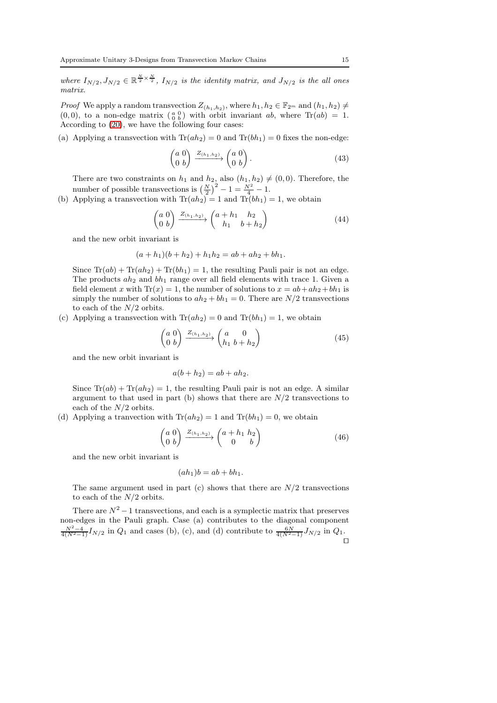where  $I_{N/2}, J_{N/2} \in \mathbb{R}^{\frac{N}{2} \times \frac{N}{2}}$ ,  $I_{N/2}$  is the identity matrix, and  $J_{N/2}$  is the all ones matrix.

*Proof* We apply a random transvection  $Z_{(h_1,h_2)}$ , where  $h_1, h_2 \in \mathbb{F}_{2^m}$  and  $(h_1,h_2) \neq$  $(0,0)$ , to a non-edge matrix  $\begin{pmatrix} a & 0 \\ 0 & b \end{pmatrix}$  with orbit invariant ab, where  $\text{Tr}(ab) = 1$ . According to [\(20\)](#page-6-1), we have the following four cases:

(a) Applying a transvection with  $\text{Tr}(ah_2) = 0$  and  $\text{Tr}(bh_1) = 0$  fixes the non-edge:

$$
\begin{pmatrix} a & 0 \\ 0 & b \end{pmatrix} \xrightarrow{Z_{(h_1, h_2)}} \begin{pmatrix} a & 0 \\ 0 & b \end{pmatrix} . \tag{43}
$$

There are two constraints on  $h_1$  and  $h_2$ , also  $(h_1, h_2) \neq (0, 0)$ . Therefore, the number of possible transvections is  $\left(\frac{N}{2}\right)^2 - 1 = \frac{N^2}{4} - 1$ .

(b) Applying a transvection with  $\text{Tr}(ah_2) = 1$  and  $\text{Tr}(bh_1) = 1$ , we obtain

$$
\begin{pmatrix} a & 0 \ 0 & b \end{pmatrix} \xrightarrow{Z_{(h_1, h_2)}} \begin{pmatrix} a + h_1 & h_2 \ h_1 & b + h_2 \end{pmatrix}
$$
 (44)

and the new orbit invariant is

$$
(a + h1)(b + h2) + h1h2 = ab + ah2 + bh1.
$$

Since  $\text{Tr}(ab) + \text{Tr}(ah_2) + \text{Tr}(bh_1) = 1$ , the resulting Pauli pair is not an edge. The products  $ah_2$  and  $bh_1$  range over all field elements with trace 1. Given a field element x with  $Tr(x) = 1$ , the number of solutions to  $x = ab + ah<sub>2</sub> + bh<sub>1</sub>$  is simply the number of solutions to  $ah_2 + bh_1 = 0$ . There are  $N/2$  transvections to each of the  $N/2$  orbits.

(c) Applying a transvection with  $\text{Tr}(ah_2) = 0$  and  $\text{Tr}(bh_1) = 1$ , we obtain

$$
\begin{pmatrix} a & 0 \\ 0 & b \end{pmatrix} \xrightarrow{Z_{(h_1, h_2)}} \begin{pmatrix} a & 0 \\ h_1 & b + h_2 \end{pmatrix} \tag{45}
$$

and the new orbit invariant is

$$
a(b + h_2) = ab + ah_2.
$$

Since  $Tr(ab) + Tr(ah_2) = 1$ , the resulting Pauli pair is not an edge. A similar argument to that used in part (b) shows that there are  $N/2$  transvections to each of the  $N/2$  orbits.

(d) Applying a tranvection with  $\text{Tr}(ah_2) = 1$  and  $\text{Tr}(bh_1) = 0$ , we obtain

$$
\begin{pmatrix} a & 0 \\ 0 & b \end{pmatrix} \xrightarrow{Z_{(h_1, h_2)}} \begin{pmatrix} a + h_1 & h_2 \\ 0 & b \end{pmatrix} \tag{46}
$$

and the new orbit invariant is

$$
(ah_1)b = ab + bh_1.
$$

The same argument used in part  $(c)$  shows that there are  $N/2$  transvections to each of the  $N/2$  orbits.

There are  $N^2 - 1$  transvections, and each is a symplectic matrix that preserves non-edges in the Pauli graph. Case (a) contributes to the diagonal component  $\frac{N^2-4}{4(N^2-1)}I_{N/2}$  in  $Q_1$  and cases (b), (c), and (d) contribute to  $\frac{6N}{4(N^2-1)}J_{N/2}$  in  $Q_1$ . ⊓⊔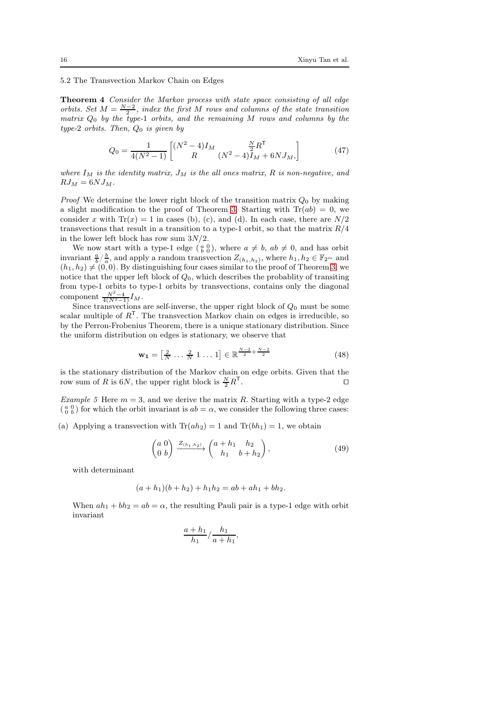# 5.2 The Transvection Markov Chain on Edges

Theorem 4 Consider the Markov process with state space consisting of all edge orbits. Set  $M = \frac{N-2}{2}$ , index the first M rows and columns of the state transition matrix  $Q_0$  by the type-1 orbits, and the remaining  $M$  rows and columns by the type-2 orbits. Then,  $Q_0$  is given by

<span id="page-15-1"></span>
$$
Q_0 = \frac{1}{4(N^2 - 1)} \begin{bmatrix} (N^2 - 4)I_M & \frac{N}{2}R^{\mathsf{T}} \\ R & (N^2 - 4)I_M + 6NJ_M, \end{bmatrix}
$$
(47)

where  $I_M$  is the identity matrix,  $J_M$  is the all ones matrix, R is non-negative, and  $RJ_M = 6NJ_M$ .

*Proof* We determine the lower right block of the transition matrix  $Q_0$  by making a slight modification to the proof of Theorem [3.](#page-13-1) Starting with  $Tr(ab) = 0$ , we consider x with  $\text{Tr}(x) = 1$  in cases (b), (c), and (d). In each case, there are  $N/2$ transvections that result in a transition to a type-1 orbit, so that the matrix  $R/4$ in the lower left block has row sum  $3N/2$ .

We now start with a type-1 edge  $\binom{a}{b}$ , where  $a \neq b$ ,  $ab \neq 0$ , and has orbit invariant  $\frac{a}{b}$  / $\frac{b}{a}$ , and apply a random transvection  $Z_{(h_1,h_2)}$ , where  $h_1, h_2 \in \mathbb{F}_{2^m}$  and  $(h_1, h_2) \neq (0, 0)$ . By distinguishing four cases similar to the proof of Theorem [3,](#page-13-1) we notice that the upper left block of  $Q_0$ , which describes the probablity of transiting from type-1 orbits to type-1 orbits by transvections, contains only the diagonal component  $\frac{N^2-4}{4(N^2-1)}I_M$ .

Since transvections are self-inverse, the upper right block of  $Q_0$  must be some scalar multiple of  $R^{T}$ . The transvection Markov chain on edges is irreducible, so by the Perron-Frobenius Theorem, there is a unique stationary distribution. Since the uniform distribution on edges is stationary, we observe that

<span id="page-15-0"></span>
$$
\mathbf{w_1} = \left[\frac{2}{N} \dots \frac{2}{N} \ 1 \dots 1\right] \in \mathbb{R}^{\frac{N-2}{2} + \frac{N-2}{2}}
$$
 (48)

is the stationary distribution of the Markov chain on edge orbits. Given that the row sum of R is  $6N$ , the upper right block is  $\frac{N}{2}R^{\mathsf{T}}$ . ⊓⊔

Example 5 Here  $m = 3$ , and we derive the matrix R. Starting with a type-2 edge  $\left(\begin{smallmatrix} a & 0 \\ 0 & b \end{smallmatrix}\right)$  for which the orbit invariant is  $ab = \alpha$ , we consider the following three cases:

(a) Applying a transvection with  $\text{Tr}(ah_2) = 1$  and  $\text{Tr}(bh_1) = 1$ , we obtain

$$
\begin{pmatrix} a & 0 \ 0 & b \end{pmatrix} \xrightarrow{Z_{(h_1, h_2)}} \begin{pmatrix} a + h_1 & h_2 \ h_1 & b + h_2 \end{pmatrix},
$$
\n(49)

with determinant

$$
(a + h1)(b + h2) + h1h2 = ab + ah1 + bh2.
$$

When  $ah_1 + bh_2 = ab = \alpha$ , the resulting Pauli pair is a type-1 edge with orbit invariant

$$
\frac{a+h_1}{h_1}/\frac{h_1}{a+h_1},
$$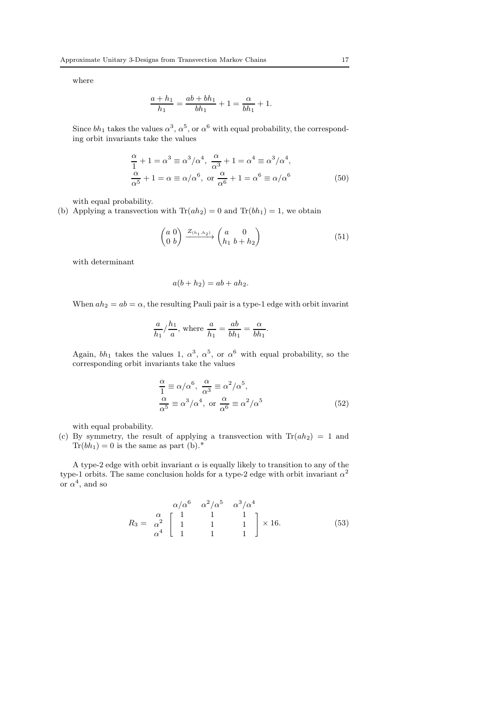where

$$
\frac{a+h_1}{h_1} = \frac{ab + bh_1}{bh_1} + 1 = \frac{\alpha}{bh_1} + 1.
$$

Since  $bh_1$  takes the values  $\alpha^3$ ,  $\alpha^5$ , or  $\alpha^6$  with equal probability, the corresponding orbit invariants take the values

$$
\frac{\alpha}{1} + 1 = \alpha^3 \equiv \alpha^3/\alpha^4, \ \frac{\alpha}{\alpha^3} + 1 = \alpha^4 \equiv \alpha^3/\alpha^4, \frac{\alpha}{\alpha^5} + 1 = \alpha \equiv \alpha/\alpha^6, \text{ or } \frac{\alpha}{\alpha^6} + 1 = \alpha^6 \equiv \alpha/\alpha^6
$$
\n(50)

with equal probability.

(b) Applying a transvection with  $\text{Tr}(ah_2) = 0$  and  $\text{Tr}(bh_1) = 1$ , we obtain

$$
\begin{pmatrix} a & 0 \\ 0 & b \end{pmatrix} \xrightarrow{Z_{(h_1, h_2)}} \begin{pmatrix} a & 0 \\ h_1 & b + h_2 \end{pmatrix} \tag{51}
$$

with determinant

$$
a(b + h_2) = ab + ah_2.
$$

When  $ah_2 = ab = \alpha$ , the resulting Pauli pair is a type-1 edge with orbit invarint

$$
\frac{a}{h_1} / \frac{h_1}{a}, \text{ where } \frac{a}{h_1} = \frac{ab}{bh_1} = \frac{\alpha}{bh_1}.
$$

Again,  $bh_1$  takes the values 1,  $\alpha^3$ ,  $\alpha^5$ , or  $\alpha^6$  with equal probability, so the corresponding orbit invariants take the values

$$
\frac{\alpha}{1} \equiv \alpha/\alpha^6, \ \frac{\alpha}{\alpha^3} \equiv \alpha^2/\alpha^5, \frac{\alpha}{\alpha^5} \equiv \alpha^3/\alpha^4, \text{ or } \frac{\alpha}{\alpha^6} \equiv \alpha^2/\alpha^5
$$
\n(52)

with equal probability.

(c) By symmetry, the result of applying a transvection with  $\text{Tr}(ah_2) = 1$  and  $Tr(bh_1) = 0$  is the same as part (b)."

A type-2 edge with orbit invariant  $\alpha$  is equally likely to transition to any of the type-1 orbits. The same conclusion holds for a type-2 edge with orbit invariant  $\alpha^2$ or  $\alpha^4$ , and so

$$
R_3 = \begin{array}{ccc} & \alpha/\alpha^6 & \alpha^2/\alpha^5 & \alpha^3/\alpha^4 \\ \alpha & 1 & 1 & 1 \\ \alpha^4 & 1 & 1 & 1 \\ 1 & 1 & 1 & 1 \end{array} \times 16. \tag{53}
$$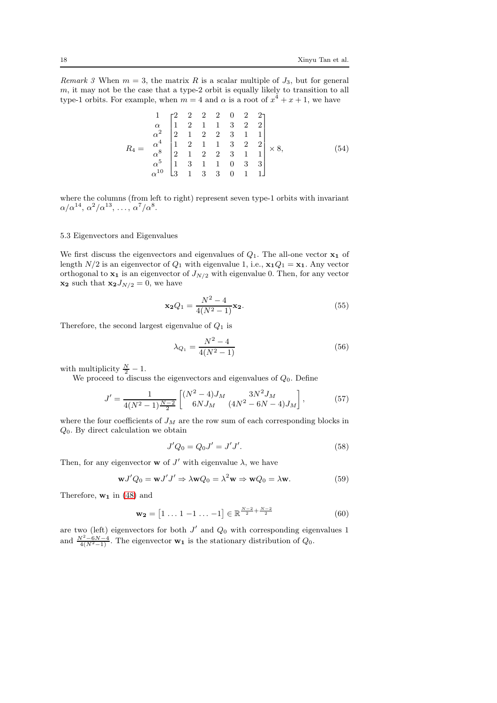Remark 3 When  $m = 3$ , the matrix R is a scalar multiple of  $J_3$ , but for general  $m$ , it may not be the case that a type-2 orbit is equally likely to transition to all type-1 orbits. For example, when  $m = 4$  and  $\alpha$  is a root of  $x^4 + x + 1$ , we have

$$
R_4 = \begin{pmatrix} 1 & 2 & 2 & 2 & 2 & 0 & 2 & 2 \\ \alpha & 1 & 2 & 1 & 1 & 3 & 2 & 2 \\ \alpha^2 & 2 & 1 & 2 & 2 & 3 & 1 & 1 \\ 1 & 2 & 1 & 1 & 3 & 2 & 2 \\ \alpha^3 & 2 & 1 & 2 & 2 & 3 & 1 & 1 \\ \alpha^5 & 1 & 3 & 1 & 1 & 0 & 3 & 3 \\ \alpha^{10} & 3 & 1 & 3 & 3 & 0 & 1 & 1 \end{pmatrix} \times 8, \tag{54}
$$

where the columns (from left to right) represent seven type-1 orbits with invariant  $\alpha/\alpha^{14}, \, \alpha^2/\alpha^{13}, \, \ldots, \, \alpha^7/\alpha^8.$ 

# <span id="page-17-0"></span>5.3 Eigenvectors and Eigenvalues

We first discuss the eigenvectors and eigenvalues of  $Q_1$ . The all-one vector  $x_1$  of length  $N/2$  is an eigenvector of  $Q_1$  with eigenvalue 1, i.e.,  $x_1Q_1 = x_1$ . Any vector orthogonal to  $x_1$  is an eigenvector of  $J_{N/2}$  with eigenvalue 0. Then, for any vector  $x_2$  such that  $x_2J_{N/2} = 0$ , we have

$$
\mathbf{x}_2 Q_1 = \frac{N^2 - 4}{4(N^2 - 1)} \mathbf{x}_2.
$$
 (55)

Therefore, the second largest eigenvalue of  $Q_1$  is

$$
\lambda_{Q_1} = \frac{N^2 - 4}{4(N^2 - 1)}\tag{56}
$$

with multiplicity  $\frac{N}{2} - 1$ .

We proceed to discuss the eigenvectors and eigenvalues of  $Q_0$ . Define

$$
J' = \frac{1}{4(N^2 - 1)\frac{N - 2}{2}} \begin{bmatrix} (N^2 - 4)J_M & 3N^2 J_M \\ 6N J_M & (4N^2 - 6N - 4)J_M \end{bmatrix},
$$
(57)

where the four coefficients of  $J_M$  are the row sum of each corresponding blocks in  $Q_0$ . By direct calculation we obtain

$$
J'Q_0 = Q_0 J' = J'J'.
$$
\n(58)

Then, for any eigenvector **w** of  $J'$  with eigenvalue  $\lambda$ , we have

$$
\mathbf{w}J'Q_0 = \mathbf{w}J'J' \Rightarrow \lambda \mathbf{w}Q_0 = \lambda^2 \mathbf{w} \Rightarrow \mathbf{w}Q_0 = \lambda \mathbf{w}.
$$
 (59)

Therefore,  $w_1$  in [\(48\)](#page-15-0) and

$$
\mathbf{w_2} = [1 \dots 1 - 1 \dots -1] \in \mathbb{R}^{\frac{N-2}{2} + \frac{N-2}{2}}
$$
(60)

are two (left) eigenvectors for both  $J'$  and  $Q_0$  with corresponding eigenvalues 1 and  $\frac{N^2-6N-4}{4(N^2-1)}$ . The eigenvector **w**<sub>1</sub> is the stationary distribution of  $Q_0$ .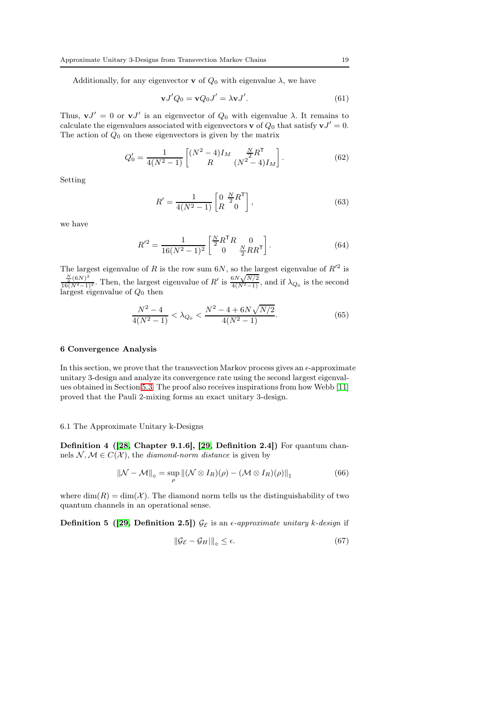Additionally, for any eigenvector **v** of  $Q_0$  with eigenvalue  $\lambda$ , we have

$$
\mathbf{v}J'Q_0 = \mathbf{v}Q_0J' = \lambda \mathbf{v}J'.
$$
 (61)

Thus,  $\mathbf{v}J' = 0$  or  $\mathbf{v}J'$  is an eigenvector of  $Q_0$  with eigenvalue  $\lambda$ . It remains to calculate the eigenvalues associated with eigenvectors **v** of  $Q_0$  that satisfy  $\mathbf{v} J' = 0$ . The action of  $Q_0$  on these eigenvectors is given by the matrix

$$
Q_0' = \frac{1}{4(N^2 - 1)} \left[ \frac{(N^2 - 4)I_M}{R} \frac{\frac{N}{2}R^{\mathsf{T}}}{(N^2 - 4)I_M} \right]. \tag{62}
$$

Setting

$$
R' = \frac{1}{4(N^2 - 1)} \begin{bmatrix} 0 & \frac{N}{2} R^{\mathsf{T}} \\ R & 0 \end{bmatrix},\tag{63}
$$

we have

$$
R'^{2} = \frac{1}{16(N^{2} - 1)^{2}} \begin{bmatrix} \frac{N}{2} R^{T} R & 0\\ 0 & \frac{N}{2} R R^{T} \end{bmatrix}.
$$
 (64)

The largest eigenvalue of R is the row sum  $6N$ , so the largest eigenvalue of  $R^2$  is  $\frac{N}{2}$ (6N)<sup>2</sup><br> $\frac{(6N)^2}{16(N^2-1)^2}$ . Then, the largest eigenvalue of R' is  $\frac{6N\sqrt{N/2}}{4(N^2-1)}$ , and if  $\lambda_{Q_0}$  is the second largest eigenvalue of  $Q_0$  then

<span id="page-18-2"></span>
$$
\frac{N^2 - 4}{4(N^2 - 1)} < \lambda_{Q_0} < \frac{N^2 - 4 + 6N\sqrt{N/2}}{4(N^2 - 1)}.\tag{65}
$$

# <span id="page-18-1"></span>6 Convergence Analysis

In this section, we prove that the transvection Markov process gives an  $\epsilon$ -approximate unitary 3-design and analyze its convergence rate using the second largest eigenvalues obtained in Section [5.3.](#page-17-0) The proof also receives inspirations from how Webb [\[11\]](#page-23-8) proved that the Pauli 2-mixing forms an exact unitary 3-design.

### 6.1 The Approximate Unitary k-Designs

Definition 4 ([\[28,](#page-24-5) Chapter 9.1.6], [\[29,](#page-24-6) Definition 2.4]) For quantum channels  $\mathcal{N}, \mathcal{M} \in C(\mathcal{X})$ , the diamond-norm distance is given by

$$
\|\mathcal{N} - \mathcal{M}\|_{\diamond} = \sup_{\rho} \|(\mathcal{N} \otimes I_R)(\rho) - (\mathcal{M} \otimes I_R)(\rho)\|_1
$$
(66)

where  $\dim(R) = \dim(\mathcal{X})$ . The diamond norm tells us the distinguishability of two quantum channels in an operational sense.

<span id="page-18-0"></span>**Definition 5** ([\[29,](#page-24-6) Definition 2.5])  $\mathcal{G}_{\mathcal{E}}$  is an  $\epsilon$ -approximate unitary k-design if

$$
\|\mathcal{G}_{\mathcal{E}} - \mathcal{G}_H\|\|_{\diamond} \le \epsilon. \tag{67}
$$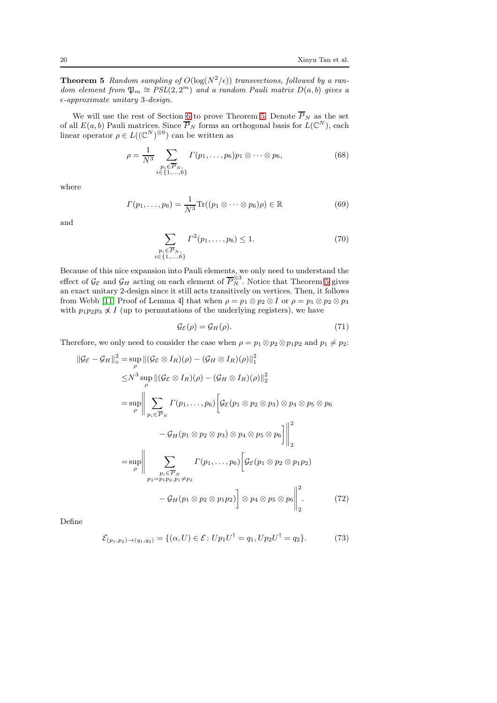**Theorem 5** Random sampling of  $O(log(N^2/\epsilon))$  transvections, followed by a random element from  $\mathfrak{P}_m \cong PSL(2, 2^m)$  and a random Pauli matrix  $D(a, b)$  gives a  $\epsilon$ -approximate unitary 3-design.

We will use the rest of Section [6](#page-18-1) to prove Theorem [5.](#page-18-0) Denote  $\overline{P}_N$  as the set of all  $E(a, b)$  Pauli matrices. Since  $\overline{P}_N$  forms an orthogonal basis for  $L(\mathbb{C}^N)$ , each linear operator  $\rho \in L((\mathbb{C}^N)^{\otimes 6})$  can be written as

$$
\rho = \frac{1}{N^3} \sum_{\substack{p_i \in \overline{P}_N, \\ i \in \{1, \dots, 6\}}} \Gamma(p_1, \dots, p_6) p_1 \otimes \dots \otimes p_6,\tag{68}
$$

where

$$
\Gamma(p_1,\ldots,p_6) = \frac{1}{N^3} \text{Tr}((p_1 \otimes \cdots \otimes p_6)\rho) \in \mathbb{R}
$$
 (69)

and

$$
\sum_{\substack{p_i \in \overline{P}_N, \\ i \in \{1, \dots, 6\}}} \Gamma^2(p_1, \dots, p_6) \le 1.
$$
\n(70)

Because of this nice expansion into Pauli elements, we only need to understand the effect of  $\mathcal{G}_{\mathcal{E}}$  and  $\mathcal{G}_H$  acting on each element of  $\overline{P}_N^{\otimes 3}$ . Notice that Theorem [5](#page-18-0) gives an exact unitary 2-design since it still acts transitively on vertices. Then, it follows from Webb [\[11,](#page-23-8) Proof of Lemma 4] that when  $\rho = p_1 \otimes p_2 \otimes I$  or  $\rho = p_1 \otimes p_2 \otimes p_3$ with  $p_1p_2p_3 \not\propto I$  (up to permutations of the underlying registers), we have

<span id="page-19-0"></span>
$$
\mathcal{G}_{\mathcal{E}}(\rho) = \mathcal{G}_H(\rho). \tag{71}
$$

Therefore, we only need to consider the case when  $\rho = p_1 \otimes p_2 \otimes p_1 p_2$  and  $p_1 \neq p_2$ :

$$
\begin{split}\n\|\mathcal{G}_{\mathcal{E}} - \mathcal{G}_{H}\|_{\diamond}^{2} &= \sup_{\rho} \left\| (\mathcal{G}_{\mathcal{E}} \otimes I_{R})(\rho) - (\mathcal{G}_{H} \otimes I_{R})(\rho) \right\|_{1}^{2} \\
&\leq N^{3} \sup_{\rho} \left\| (\mathcal{G}_{\mathcal{E}} \otimes I_{R})(\rho) - (\mathcal{G}_{H} \otimes I_{R})(\rho) \right\|_{2}^{2} \\
&= \sup_{\rho} \left\| \sum_{p_{i} \in \overline{P}_{N}} \Gamma(p_{1}, \ldots, p_{6}) \left[ \mathcal{G}_{\mathcal{E}}(p_{1} \otimes p_{2} \otimes p_{3}) \otimes p_{4} \otimes p_{5} \otimes p_{6} \right. \\
&\left. - \mathcal{G}_{H}(p_{1} \otimes p_{2} \otimes p_{3}) \otimes p_{4} \otimes p_{5} \otimes p_{6} \right] \right\|_{2}^{2} \\
&= \sup_{\rho} \left\| \sum_{\substack{p_{i} \in \overline{P}_{N} \\ p_{3} = p_{1} p_{2}, p_{1} \neq p_{2}}} \Gamma(p_{1}, \ldots, p_{6}) \left[ \mathcal{G}_{\mathcal{E}}(p_{1} \otimes p_{2} \otimes p_{1} p_{2}) \right. \\
&\left. - \mathcal{G}_{H}(p_{1} \otimes p_{2} \otimes p_{1} p_{2}) \right] \otimes p_{4} \otimes p_{5} \otimes p_{6} \right\|_{2}^{2}.\n\end{split} \tag{72}
$$

Define

$$
\mathcal{E}_{(p_1, p_2)\to(q_1, q_2)} = \{ (\alpha, U) \in \mathcal{E} : Up_1 U^{\dagger} = q_1, Up_2 U^{\dagger} = q_2 \}. \tag{73}
$$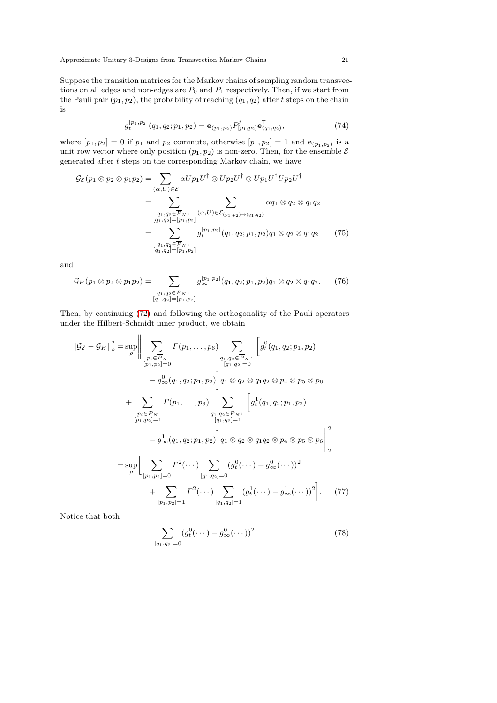Suppose the transition matrices for the Markov chains of sampling random transvections on all edges and non-edges are  $P_0$  and  $P_1$  respectively. Then, if we start from the Pauli pair  $(p_1, p_2)$ , the probability of reaching  $(q_1, q_2)$  after t steps on the chain is

$$
g_t^{[p_1, p_2]}(q_1, q_2; p_1, p_2) = \mathbf{e}_{(p_1, p_2)} P_{[p_1, p_2]}^{\mathsf{T}} \mathbf{e}_{(q_1, q_2)}^{\mathsf{T}},\tag{74}
$$

where  $[p_1, p_2] = 0$  if  $p_1$  and  $p_2$  commute, otherwise  $[p_1, p_2] = 1$  and  $\mathbf{e}_{(p_1, p_2)}$  is a unit row vector where only position  $(p_1, p_2)$  is non-zero. Then, for the ensemble  $\mathcal E$ generated after  $t$  steps on the corresponding Markov chain, we have

$$
\mathcal{G}_{\mathcal{E}}(p_1 \otimes p_2 \otimes p_1 p_2) = \sum_{(\alpha, U) \in \mathcal{E}} \alpha U p_1 U^{\dagger} \otimes U p_2 U^{\dagger} \otimes U p_1 U^{\dagger} U p_2 U^{\dagger}
$$
  
\n
$$
= \sum_{\substack{q_1, q_2 \in \overline{P}_N : \ (\alpha, U) \in \mathcal{E}_{(p_1, p_2) \to (q_1, q_2)}}}
$$
  
\n
$$
= \sum_{\substack{q_1, q_2 \in \overline{P}_N : \ (\alpha, U) \in \mathcal{E}_{(p_1, p_2) \to (q_1, q_2)}}}
$$
  
\n
$$
= \sum_{\substack{q_1, q_2 \in \overline{P}_N : \ [\overline{q_1}, q_2] = [\overline{p_1}, p_2]}} g_t^{[p_1, p_2]}(q_1, q_2; p_1, p_2) q_1 \otimes q_2 \otimes q_1 q_2 \qquad (75)
$$

and

$$
\mathcal{G}_H(p_1 \otimes p_2 \otimes p_1 p_2) = \sum_{\substack{q_1, q_2 \in \overline{P}_N : \\ [q_1, q_2] = [p_1, p_2]}} g_{\infty}^{[p_1, p_2]}(q_1, q_2; p_1, p_2) q_1 \otimes q_2 \otimes q_1 q_2. \tag{76}
$$

Then, by continuing [\(72\)](#page-19-0) and following the orthogonality of the Pauli operators under the Hilbert-Schmidt inner product, we obtain

$$
\|\mathcal{G}_{\mathcal{E}} - \mathcal{G}_{H}\|_{\diamond}^{2} = \sup_{\rho} \Big\| \sum_{\substack{p_{i} \in \overline{P}_{N} \\ [p_{1}, p_{2}] = 0}} \Gamma(p_{1}, \ldots, p_{6}) \sum_{\substack{q_{1}, q_{2} \in \overline{P}_{N} \\ [q_{1}, q_{2}] = 0}} \left[ g_{t}^{0}(q_{1}, q_{2}; p_{1}, p_{2}) \right] \left[ q_{1} \otimes q_{2} \otimes q_{1} q_{2} \otimes p_{4} \otimes p_{5} \otimes p_{6} \right]
$$
  
+ 
$$
\sum_{\substack{p_{i} \in \overline{P}_{N} \\ [p_{1}, p_{2}] = 1}} \Gamma(p_{1}, \ldots, p_{6}) \sum_{\substack{q_{1}, q_{2} \in \overline{P}_{N} \\ [q_{1}, q_{2}] = 1}} \left[ g_{t}^{1}(q_{1}, q_{2}; p_{1}, p_{2}) \right]
$$
  
- 
$$
g_{\infty}^{1}(q_{1}, q_{2}; p_{1}, p_{2}) \Bigg] q_{1} \otimes q_{2} \otimes q_{1} q_{2} \otimes p_{4} \otimes p_{5} \otimes p_{6} \Big\|_{2}^{2}
$$
  
= 
$$
\sup_{\rho} \Bigg[ \sum_{\substack{[p_{1}, p_{2}] = 0}} \Gamma^{2}(\cdots) \sum_{\substack{[q_{1}, q_{2}] = 0}} (g_{t}^{0}(\cdots) - g_{\infty}^{0}(\cdots))^{2} + \sum_{\substack{[p_{1}, p_{2}] = 1}} \Gamma^{2}(\cdots) \sum_{\substack{[q_{1}, q_{2}] = 1}} (g_{t}^{1}(\cdots) - g_{\infty}^{1}(\cdots))^{2} \Bigg]. \tag{77}
$$

Notice that both

<span id="page-20-1"></span><span id="page-20-0"></span>
$$
\sum_{[q_1,q_2]=0} (g_t^0(\cdots) - g_\infty^0(\cdots))^2
$$
\n(78)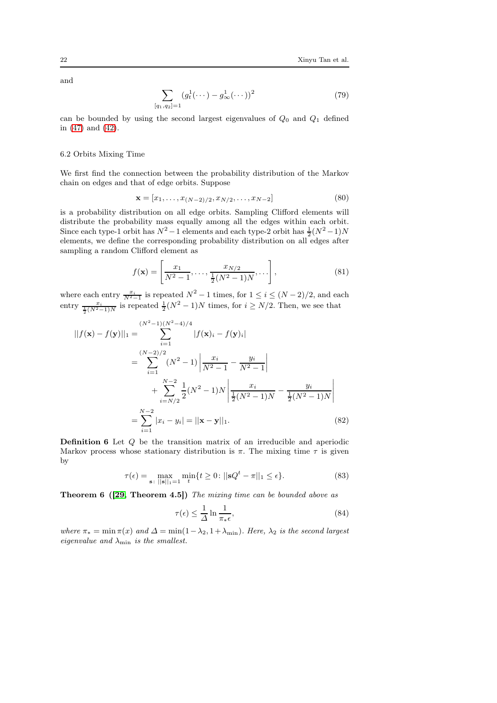and

<span id="page-21-0"></span>
$$
\sum_{[q_1,q_2]=1} (g_t^1(\cdots) - g_\infty^1(\cdots))^2
$$
\n(79)

can be bounded by using the second largest eigenvalues of  $Q_0$  and  $Q_1$  defined in [\(47\)](#page-15-1) and [\(42\)](#page-13-2).

# 6.2 Orbits Mixing Time

We first find the connection between the probability distribution of the Markov chain on edges and that of edge orbits. Suppose

$$
\mathbf{x} = [x_1, \dots, x_{(N-2)/2}, x_{N/2}, \dots, x_{N-2}] \tag{80}
$$

is a probability distribution on all edge orbits. Sampling Clifford elements will distribute the probability mass equally among all the edges within each orbit. Since each type-1 orbit has  $N^2 - 1$  elements and each type-2 orbit has  $\frac{1}{2}(N^2 - 1)N$ elements, we define the corresponding probability distribution on all edges after sampling a random Clifford element as

$$
f(\mathbf{x}) = \left[ \frac{x_1}{N^2 - 1}, \dots, \frac{x_{N/2}}{\frac{1}{2}(N^2 - 1)N}, \dots \right],
$$
\n(81)

where each entry  $\frac{x_i}{N^2-1}$  is repeated  $N^2-1$  times, for  $1 \le i \le (N-2)/2$ , and each entry  $\frac{x_i}{\frac{1}{2}(N^2-1)N}$  is repeated  $\frac{1}{2}(N^2-1)N$  times, for  $i \geq N/2$ . Then, we see that

$$
||f(\mathbf{x}) - f(\mathbf{y})||_1 = \sum_{i=1}^{(N^2-1)(N^2-4)/4} |f(\mathbf{x})_i - f(\mathbf{y})_i|
$$
  
= 
$$
\sum_{i=1}^{(N-2)/2} (N^2 - 1) \left| \frac{x_i}{N^2 - 1} - \frac{y_i}{N^2 - 1} \right|
$$
  
+ 
$$
\sum_{i=N/2}^{N-2} \frac{1}{2} (N^2 - 1) N \left| \frac{x_i}{\frac{1}{2}(N^2 - 1)N} - \frac{y_i}{\frac{1}{2}(N^2 - 1)N} \right|
$$
  
= 
$$
\sum_{i=1}^{N-2} |x_i - y_i| = ||\mathbf{x} - \mathbf{y}||_1.
$$
 (82)

Definition 6 Let Q be the transition matrix of an irreducible and aperiodic Markov process whose stationary distribution is  $\pi$ . The mixing time  $\tau$  is given by

$$
\tau(\epsilon) = \max_{\mathbf{s} \colon ||\mathbf{s}||_1 = 1} \min_t \{ t \ge 0 : ||\mathbf{s}Q^t - \pi||_1 \le \epsilon \}. \tag{83}
$$

Theorem 6 ([\[29,](#page-24-6) Theorem 4.5]) The mixing time can be bounded above as

$$
\tau(\epsilon) \le \frac{1}{\Delta} \ln \frac{1}{\pi_{\ast} \epsilon},\tag{84}
$$

where  $\pi_* = \min \pi(x)$  and  $\Delta = \min(1-\lambda_2, 1+\lambda_{\min})$ . Here,  $\lambda_2$  is the second largest eigenvalue and  $\lambda_{\min}$  is the smallest.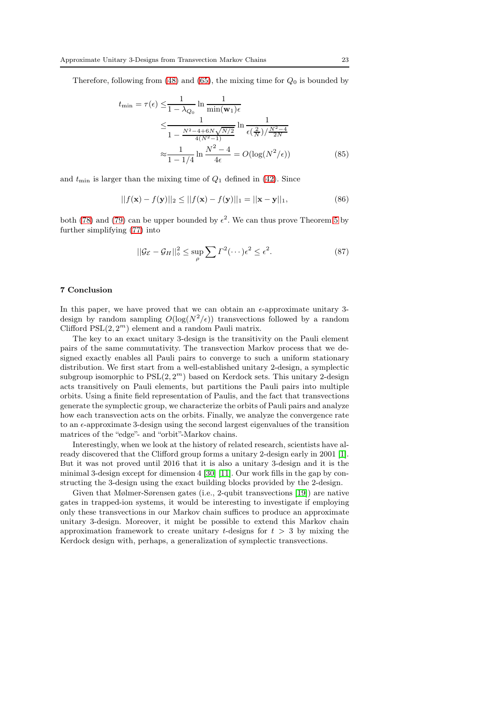Therefore, following from  $(48)$  and  $(65)$ , the mixing time for  $Q_0$  is bounded by

$$
t_{\min} = \tau(\epsilon) \le \frac{1}{1 - \lambda_{Q_0}} \ln \frac{1}{\min(\mathbf{w}_1)\epsilon}
$$
  
\n
$$
\le \frac{1}{1 - \frac{N^2 - 4 + 6N\sqrt{N/2}}{4(N^2 - 1)}} \ln \frac{1}{\epsilon(\frac{2}{N})/\frac{N^2 - 4}{2N}}
$$
  
\n
$$
\approx \frac{1}{1 - 1/4} \ln \frac{N^2 - 4}{4\epsilon} = O(\log(N^2/\epsilon))
$$
 (85)

and  $t_{\text{min}}$  is larger than the mixing time of  $Q_1$  defined in [\(42\)](#page-13-2). Since

$$
||f(\mathbf{x}) - f(\mathbf{y})||_2 \le ||f(\mathbf{x}) - f(\mathbf{y})||_1 = ||\mathbf{x} - \mathbf{y}||_1,
$$
\n(86)

both [\(78\)](#page-20-0) and [\(79\)](#page-21-0) can be upper bounded by  $\epsilon^2$ . We can thus prove Theorem [5](#page-18-0) by further simplifying [\(77\)](#page-20-1) into

$$
||\mathcal{G}_{\mathcal{E}} - \mathcal{G}_H||_{\diamond}^2 \le \sup_{\rho} \sum \varGamma^2(\cdots) \epsilon^2 \le \epsilon^2. \tag{87}
$$

# <span id="page-22-0"></span>7 Conclusion

In this paper, we have proved that we can obtain an  $\epsilon$ -approximate unitary 3design by random sampling  $O(log(N^2/\epsilon))$  transvections followed by a random Clifford  $PSL(2, 2<sup>m</sup>)$  element and a random Pauli matrix.

The key to an exact unitary 3-design is the transitivity on the Pauli element pairs of the same commutativity. The transvection Markov process that we designed exactly enables all Pauli pairs to converge to such a uniform stationary distribution. We first start from a well-established unitary 2-design, a symplectic subgroup isomorphic to  $PSL(2, 2<sup>m</sup>)$  based on Kerdock sets. This unitary 2-design acts transitively on Pauli elements, but partitions the Pauli pairs into multiple orbits. Using a finite field representation of Paulis, and the fact that transvections generate the symplectic group, we characterize the orbits of Pauli pairs and analyze how each transvection acts on the orbits. Finally, we analyze the convergence rate to an  $\epsilon$ -approximate 3-design using the second largest eigenvalues of the transition matrices of the "edge"- and "orbit"-Markov chains.

Interestingly, when we look at the history of related research, scientists have already discovered that the Clifford group forms a unitary 2-design early in 2001 [\[1\]](#page-23-0). But it was not proved until 2016 that it is also a unitary 3-design and it is the minimal 3-design except for dimension 4 [\[30\]](#page-24-7) [\[11\]](#page-23-8). Our work fills in the gap by constructing the 3-design using the exact building blocks provided by the 2-design.

Given that Mølmer-Sørensen gates (i.e., 2-qubit transvections [\[19\]](#page-23-14)) are native gates in trapped-ion systems, it would be interesting to investigate if employing only these transvections in our Markov chain suffices to produce an approximate unitary 3-design. Moreover, it might be possible to extend this Markov chain approximation framework to create unitary t-designs for  $t > 3$  by mixing the Kerdock design with, perhaps, a generalization of symplectic transvections.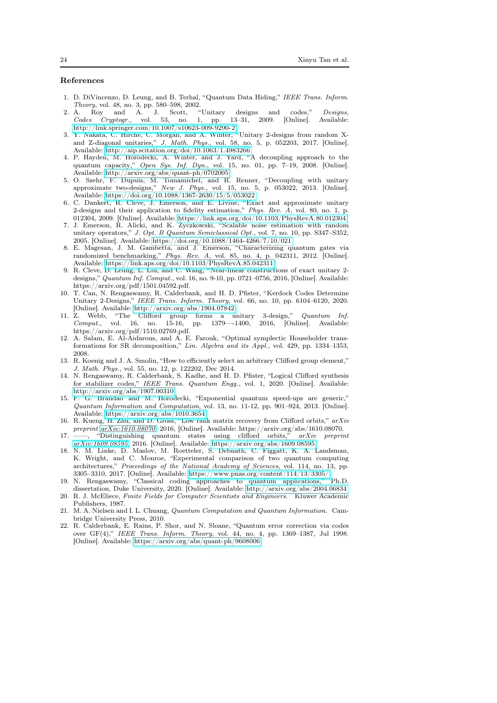### References

- <span id="page-23-0"></span>1. D. DiVincenzo, D. Leung, and B. Terhal, "Quantum Data Hiding," *IEEE Trans. Inform. Theory*, vol. 48, no. 3, pp. 580–598, 2002.
- <span id="page-23-1"></span>2. A. Roy and A. J. Scott, "Unitary designs and codes," *Designs,* 1, pp. 13–31, 2009. [Online]. Available: <http://link.springer.com/10.1007/s10623-009-9290-2>
- 3. Y. Nakata, C. Hirche, C. Morgan, and A. Winter, "Unitary 2-designs from random Xand Z-diagonal unitaries," *J. Math. Phys.*, vol. 58, no. 5, p. 052203, 2017. [Online]. Available:<http://aip.scitation.org/doi/10.1063/1.4983266>
- 4. P. Hayden, M. Horodecki, A. Winter, and J. Yard, "A decoupling approach to the quantum capacity," *Open Sys. Inf. Dyn.*, vol. 15, no. 01, pp. 7–19, 2008. [Online]. Available:<http://arxiv.org/abs/quant-ph/0702005>
- <span id="page-23-2"></span>5. O. Szehr, F. Dupuis, M. Tomamichel, and R. Renner, "Decoupling with unitary approximate two-designs," *New J. Phys.*, vol. 15, no. 5, p. 053022, 2013. [Online]. Available:<https://doi.org/10.1088/1367-2630/15/5/053022>
- <span id="page-23-3"></span>6. C. Dankert, R. Cleve, J. Emerson, and E. Livine, "Exact and approximate unitary 2-designs and their application to fidelity estimation," *Phys. Rev. A*, vol. 80, no. 1, p. 012304, 2009. [Online]. Available:<https://link.aps.org/doi/10.1103/PhysRevA.80.012304>
- <span id="page-23-4"></span>7. J. Emerson, R. Alicki, and K. Życzkowski, "Scalable noise estimation with random unitary operators," *J. Opt. B Quantum Semiclassical Opt.*, vol. 7, no. 10, pp. S347–S352, 2005. [Online]. Available:<https://doi.org/10.1088/1464-4266/7/10/021>
- <span id="page-23-5"></span>8. E. Magesan, J. M. Gambetta, and J. Emerson, "Characterizing quantum gates via randomized benchmarking," *Phys. Rev. A*, vol. 85, no. 4, p. 042311, 2012. [Online]. Available:<https://link.aps.org/doi/10.1103/PhysRevA.85.042311>
- <span id="page-23-6"></span>9. R. Cleve, D. Leung, L. Liu, and C. Wang, "Near-linear constructions of exact unitary 2 designs," *Quantum Inf. Comput.*, vol. 16, no. 9-10, pp. 0721–0756, 2016, [Online]. Available: https://arxiv.org/pdf/1501.04592.pdf.
- <span id="page-23-7"></span>10. T. Can, N. Rengaswamy, R. Calderbank, and H. D. Pfister, "Kerdock Codes Determine Unitary 2-Designs," *IEEE Trans. Inform. Theory*, vol. 66, no. 10, pp. 6104–6120, 2020. [Online]. Available:<http://arxiv.org/abs/1904.07842>
- <span id="page-23-8"></span>11. Z. Webb, "The Clifford group forms a unitary 3-design," *Quantum Inf. Comput.*, vol. 16, no. 15-16, pp. 1379—-1400, 2016, [Online]. Available: https://arxiv.org/pdf/1510.02769.pdf.
- <span id="page-23-9"></span>12. A. Salam, E. Al-Aidarous, and A. E. Farouk, "Optimal symplectic Householder transformations for SR decomposition," *Lin. Algebra and its Appl.*, vol. 429, pp. 1334–1353, 2008.
- 13. R. Koenig and J. A. Smolin, "How to efficiently select an arbitrary Clifford group element," *J. Math. Phys.*, vol. 55, no. 12, p. 122202, Dec 2014.
- <span id="page-23-10"></span>14. N. Rengaswamy, R. Calderbank, S. Kadhe, and H. D. Pfister, "Logical Clifford synthesis for stabilizer codes," *IEEE Trans. Quantum Engg.*, vol. 1, 2020. [Online]. Available: <http://arxiv.org/abs/1907.00310>
- <span id="page-23-11"></span>15. F. G. Brandão and M. Horodecki, "Exponential quantum speed-ups are generic," *Quantum Information and Computation*, vol. 13, no. 11-12, pp. 901–924, 2013. [Online]. Available:<https://arxiv.org/abs/1010.3654>
- 16. R. Kueng, H. Zhu, and D. Gross, "Low rank matrix recovery from Clifford orbits," *arXiv preprint [arXiv:1610.08070](http://arxiv.org/abs/1610.08070)*, 2016, [Online]. Available: https://arxiv.org/abs/1610.08070.
- <span id="page-23-12"></span>17. ——, "Distinguishing quantum states using clifford orbits," *arXiv preprint [arXiv:1609.08595](http://arxiv.org/abs/1609.08595)*, 2016. [Online]. Available:<https://arxiv.org/abs/1609.08595>
- <span id="page-23-13"></span>18. N. M. Linke, D. Maslov, M. Roetteler, S. Debnath, C. Figgatt, K. A. Landsman, K. Wright, and C. Monroe, "Experimental comparison of two quantum computing architectures," *Proceedings of the National Academy of Sciences*, vol. 114, no. 13, pp. 3305–3310, 2017. [Online]. Available:<https://www.pnas.org/content/114/13/3305/>
- <span id="page-23-15"></span><span id="page-23-14"></span>19. N. Rengaswamy, "Classical coding approaches to quantum applications," Ph.D. dissertation, Duke University, 2020. [Online]. Available:<http://arxiv.org/abs/2004.06834> 20. R. J. McEliece, *Finite Fields for Computer Scientists and Engineers*. Kluwer Academic
- <span id="page-23-16"></span>Publishers, 1987. 21. M. A. Nielsen and I. L. Chuang, *Quantum Computation and Quantum Information*. Cam-
- <span id="page-23-17"></span>bridge University Press, 2010. 22. R. Calderbank, E. Rains, P. Shor, and N. Sloane, "Quantum error correction via codes
- over GF(4)," *IEEE Trans. Inform. Theory*, vol. 44, no. 4, pp. 1369–1387, Jul 1998. [Online]. Available:<https://arxiv.org/abs/quant-ph/9608006>